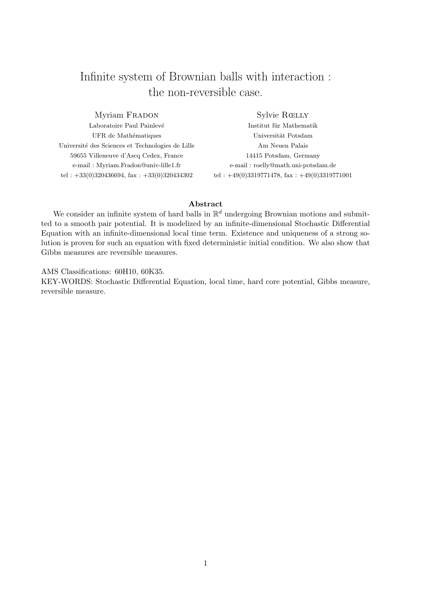## Infinite system of Brownian balls with interaction : the non-reversible case.

Myriam FRADON Laboratoire Paul Painlevé UFR de Mathématiques Université des Sciences et Technologies de Lille 59655 Villeneuve d'Ascq Cedex, France e-mail : Myriam.Fradon@univ-lille1.fr tel :  $+33(0)320436694$ , fax :  $+33(0)320434302$ 

Sylvie Rœlly

Institut für Mathematik Universität Potsdam Am Neuen Palais 14415 Potsdam, Germany e-mail : roelly@math.uni-potsdam.de tel :  $+49(0)3319771478$ , fax :  $+49(0)3319771001$ 

#### Abstract

We consider an infinite system of hard balls in  $\mathbb{R}^d$  undergoing Brownian motions and submitted to a smooth pair potential. It is modelized by an infinite-dimensional Stochastic Differential Equation with an infinite-dimensional local time term. Existence and uniqueness of a strong solution is proven for such an equation with fixed deterministic initial condition. We also show that Gibbs measures are reversible measures.

AMS Classifications: 60H10, 60K35.

KEY-WORDS: Stochastic Differential Equation, local time, hard core potential, Gibbs measure, reversible measure.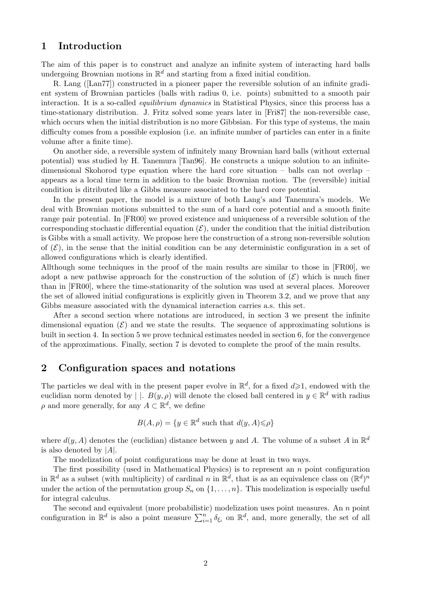## 1 Introduction

The aim of this paper is to construct and analyze an infinite system of interacting hard balls undergoing Brownian motions in  $\mathbb{R}^d$  and starting from a fixed initial condition.

R. Lang ([Lan77]) constructed in a pioneer paper the reversible solution of an infinite gradient system of Brownian particles (balls with radius 0, i.e. points) submitted to a smooth pair interaction. It is a so-called *equilibrium dynamics* in Statistical Physics, since this process has a time-stationary distribution. J. Fritz solved some years later in [Fri87] the non-reversible case, which occurs when the initial distribution is no more Gibbsian. For this type of systems, the main difficulty comes from a possible explosion (i.e. an infinite number of particles can enter in a finite volume after a finite time).

On another side, a reversible system of infinitely many Brownian hard balls (without external potential) was studied by H. Tanemura [Tan96]. He constructs a unique solution to an infinitedimensional Skohorod type equation where the hard core situation – balls can not overlap – appears as a local time term in addition to the basic Brownian motion. The (reversible) initial condition is ditributed like a Gibbs measure associated to the hard core potential.

In the present paper, the model is a mixture of both Lang's and Tanemura's models. We deal with Brownian motions submitted to the sum of a hard core potential and a smooth finite range pair potential. In [FR00] we proved existence and uniqueness of a reversible solution of the corresponding stochastic differential equation  $(\mathcal{E})$ , under the condition that the initial distribution is Gibbs with a small activity. We propose here the construction of a strong non-reversible solution of  $(\mathcal{E})$ , in the sense that the initial condition can be any deterministic configuration in a set of allowed configurations which is clearly identified.

Allthough some techniques in the proof of the main results are similar to those in [FR00], we adopt a new pathwise approach for the construction of the solution of  $(\mathcal{E})$  which is much finer than in [FR00], where the time-stationarity of the solution was used at several places. Moreover the set of allowed initial configurations is explicitly given in Theorem 3.2, and we prove that any Gibbs measure associated with the dynamical interaction carries a.s. this set.

After a second section where notations are introduced, in section 3 we present the infinite dimensional equation  $(\mathcal{E})$  and we state the results. The sequence of approximating solutions is built in section 4. In section 5 we prove technical estimates needed in section 6, for the convergence of the approximations. Finally, section 7 is devoted to complete the proof of the main results.

## 2 Configuration spaces and notations

The particles we deal with in the present paper evolve in  $\mathbb{R}^d$ , for a fixed  $d\geqslant 1$ , endowed with the euclidian norm denoted by  $| \cdot B(y, \rho)$  will denote the closed ball centered in  $y \in \mathbb{R}^d$  with radius  $\rho$  and more generally, for any  $A \subset \mathbb{R}^d$ , we define

$$
B(A, \rho) = \{ y \in \mathbb{R}^d \text{ such that } d(y, A) \leq \rho \}
$$

where  $d(y, A)$  denotes the (euclidian) distance between y and A. The volume of a subset A in  $\mathbb{R}^d$ is also denoted by  $|A|$ .

The modelization of point configurations may be done at least in two ways.

The first possibility (used in Mathematical Physics) is to represent an  $n$  point configuration in  $\mathbb{R}^d$  as a subset (with multiplicity) of cardinal n in  $\mathbb{R}^d$ , that is as an equivalence class on  $(\mathbb{R}^d)^n$ under the action of the permutation group  $S_n$  on  $\{1, \ldots, n\}$ . This modelization is especially useful for integral calculus.

The second and equivalent (more probabilistic) modelization uses point measures. An  $n$  point configuration in  $\mathbb{R}^d$  is also a point measure  $\sum_{i=1}^n \delta_{\xi_i}$  on  $\mathbb{R}^d$ , and, more generally, the set of all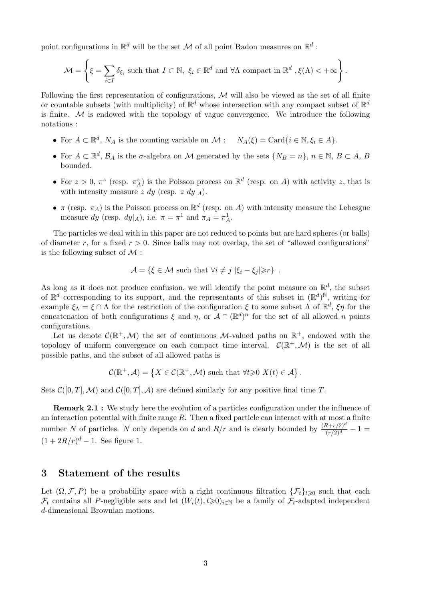point configurations in  $\mathbb{R}^d$  will be the set M of all point Radon measures on  $\mathbb{R}^d$ :

$$
\mathcal{M} = \left\{ \xi = \sum_{i \in I} \delta_{\xi_i} \text{ such that } I \subset \mathbb{N}, \ \xi_i \in \mathbb{R}^d \text{ and } \forall \Lambda \text{ compact in } \mathbb{R}^d, \xi(\Lambda) < +\infty \right\}.
$$

Following the first representation of configurations,  $M$  will also be viewed as the set of all finite or countable subsets (with multiplicity) of  $\mathbb{R}^d$  whose intersection with any compact subset of  $\mathbb{R}^d$ is finite.  $M$  is endowed with the topology of vague convergence. We introduce the following notations :

- For  $A \subset \mathbb{R}^d$ ,  $N_A$  is the counting variable on  $\mathcal{M}: N_A(\xi) = \text{Card}\{i \in \mathbb{N}, \xi_i \in A\}.$
- For  $A \subset \mathbb{R}^d$ ,  $\mathcal{B}_A$  is the  $\sigma$ -algebra on M generated by the sets  $\{N_B = n\}$ ,  $n \in \mathbb{N}$ ,  $B \subset A$ ,  $B$ bounded.
- For  $z > 0$ ,  $\pi^z$  (resp.  $\pi_A^z$ ) is the Poisson process on  $\mathbb{R}^d$  (resp. on A) with activity z, that is with intensity measure z dy (resp. z  $dy|_A$ ).
- $\pi$  (resp.  $\pi_A$ ) is the Poisson process on  $\mathbb{R}^d$  (resp. on A) with intensity measure the Lebesgue measure dy (resp.  $dy|_A$ ), i.e.  $\pi = \pi^1$  and  $\pi_A = \pi_A^1$ .

The particles we deal with in this paper are not reduced to points but are hard spheres (or balls) of diameter r, for a fixed  $r > 0$ . Since balls may not overlap, the set of "allowed configurations" is the following subset of  $\mathcal M$ :

$$
\mathcal{A} = \{ \xi \in \mathcal{M} \text{ such that } \forall i \neq j \, |\xi_i - \xi_j| \geq r \} .
$$

As long as it does not produce confusion, we will identify the point measure on  $\mathbb{R}^d$ , the subset of  $\mathbb{R}^d$  corresponding to its support, and the representants of this subset in  $(\mathbb{R}^d)^{\mathbb{N}}$ , writing for example  $\xi_{\Lambda} = \xi \cap \Lambda$  for the restriction of the configuration  $\xi$  to some subset  $\Lambda$  of  $\mathbb{R}^d$ ,  $\xi \eta$  for the concatenation of both configurations  $\xi$  and  $\eta$ , or  $\mathcal{A} \cap (\mathbb{R}^d)^n$  for the set of all allowed n points configurations.

Let us denote  $\mathcal{C}(\mathbb{R}^+, \mathcal{M})$  the set of continuous M-valued paths on  $\mathbb{R}^+$ , endowed with the topology of uniform convergence on each compact time interval.  $\mathcal{C}(\mathbb{R}^+, \mathcal{M})$  is the set of all possible paths, and the subset of all allowed paths is

$$
\mathcal{C}(\mathbb{R}^+,\mathcal{A}) = \{ X \in \mathcal{C}(\mathbb{R}^+,\mathcal{M}) \text{ such that } \forall t \geq 0 \ X(t) \in \mathcal{A} \}.
$$

Sets  $C([0, T], \mathcal{M})$  and  $C([0, T], \mathcal{A})$  are defined similarly for any positive final time T.

Remark 2.1 : We study here the evolution of a particles configuration under the influence of an interaction potential with finite range  $R$ . Then a fixed particle can interact with at most a finite number  $\overline{N}$  of particles.  $\overline{N}$  only depends on d and  $R/r$  and is clearly bounded by  $\frac{(R+r/2)^d}{(r/2)^d} - 1 =$  $(1 + 2R/r)^d - 1$ . See figure 1.

## 3 Statement of the results

Let  $(\Omega, \mathcal{F}, P)$  be a probability space with a right continuous filtration  $\{\mathcal{F}_t\}_{t\geq 0}$  such that each  $\mathcal{F}_t$  contains all P-negligible sets and let  $(W_i(t), t \geq 0)_{i \in \mathbb{N}}$  be a family of  $\mathcal{F}_t$ -adapted independent d-dimensional Brownian motions.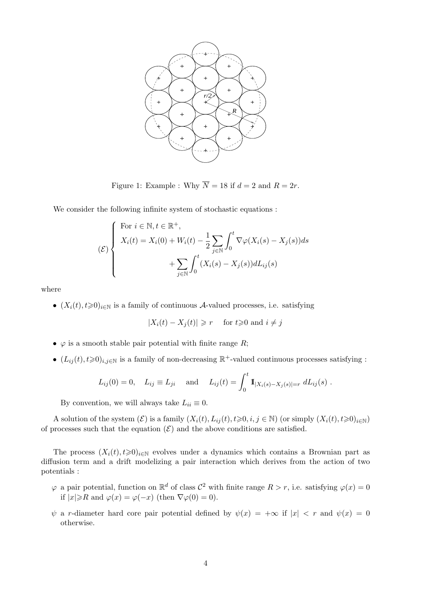

Figure 1: Example : Why  $\overline{N} = 18$  if  $d = 2$  and  $R = 2r$ .

We consider the following infinite system of stochastic equations :

$$
\mathcal{E}\left\{\n\begin{array}{l}\n\text{For } i \in \mathbb{N}, t \in \mathbb{R}^+, \\
X_i(t) = X_i(0) + W_i(t) - \frac{1}{2} \sum_{j \in \mathbb{N}} \int_0^t \nabla \varphi(X_i(s) - X_j(s)) ds \\
+ \sum_{j \in \mathbb{N}} \int_0^t (X_i(s) - X_j(s)) dL_{ij}(s)\n\end{array}\n\right.
$$

where

•  $(X_i(t), t \ge 0)_{i \in \mathbb{N}}$  is a family of continuous A-valued processes, i.e. satisfying

$$
|X_i(t) - X_j(t)| \ge r \quad \text{ for } t \ge 0 \text{ and } i \ne j
$$

- $\varphi$  is a smooth stable pair potential with finite range R;
- $(L_{ij}(t), t \ge 0)_{i,j \in \mathbb{N}}$  is a family of non-decreasing  $\mathbb{R}^+$ -valued continuous processes satisfying :

$$
L_{ij}(0) = 0
$$
,  $L_{ij} \equiv L_{ji}$  and  $L_{ij}(t) = \int_0^t \mathbf{1}_{|X_i(s) - X_j(s)| = r} dL_{ij}(s)$ .

By convention, we will always take  $L_{ii} \equiv 0$ .

A solution of the system  $(\mathcal{E})$  is a family  $(X_i(t), L_{ii}(t), t \geq 0, i, j \in \mathbb{N})$  (or simply  $(X_i(t), t \geq 0)_{i \in \mathbb{N}}$ ) of processes such that the equation  $(\mathcal{E})$  and the above conditions are satisfied.

The process  $(X_i(t), t\geq 0)_{i\in\mathbb{N}}$  evolves under a dynamics which contains a Brownian part as diffusion term and a drift modelizing a pair interaction which derives from the action of two potentials :

- $\varphi$  a pair potential, function on  $\mathbb{R}^d$  of class  $\mathcal{C}^2$  with finite range  $R > r$ , i.e. satisfying  $\varphi(x) = 0$ if  $|x| \ge R$  and  $\varphi(x) = \varphi(-x)$  (then  $\nabla \varphi(0) = 0$ ).
- $\psi$  a r-diameter hard core pair potential defined by  $\psi(x) = +\infty$  if  $|x| < r$  and  $\psi(x) = 0$ otherwise.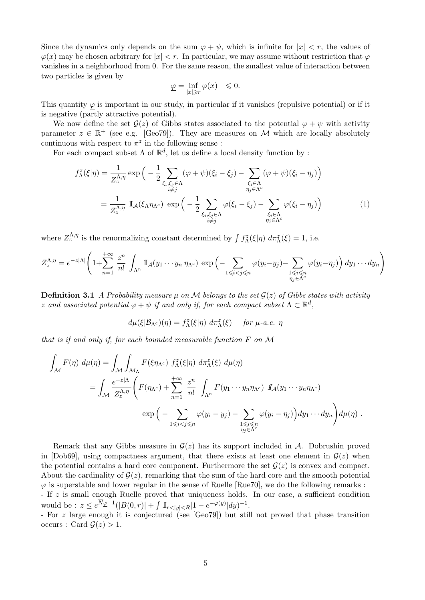Since the dynamics only depends on the sum  $\varphi + \psi$ , which is infinite for  $|x| < r$ , the values of  $\varphi(x)$  may be chosen arbitrary for  $|x| < r$ . In particular, we may assume without restriction that  $\varphi$ vanishes in a neighborhood from 0. For the same reason, the smallest value of interaction between two particles is given by

$$
\underline{\varphi}=\inf_{|x|\geqslant r}\varphi(x)\quad \leqslant 0.
$$

This quantity  $\varphi$  is important in our study, in particular if it vanishes (repulsive potential) or if it is negative (partly attractive potential).

We now define the set  $\mathcal{G}(z)$  of Gibbs states associated to the potential  $\varphi + \psi$  with activity parameter  $z \in \mathbb{R}^+$  (see e.g. [Geo79]). They are measures on M which are locally absolutely continuous with respect to  $\pi^z$  in the following sense:

For each compact subset  $\Lambda$  of  $\mathbb{R}^d$ , let us define a local density function by :

$$
f_{\Lambda}^{z}(\xi|\eta) = \frac{1}{Z_{z}^{\Lambda,\eta}} \exp\left(-\frac{1}{2} \sum_{\xi_{i},\xi_{j}\in\Lambda} (\varphi+\psi)(\xi_{i}-\xi_{j}) - \sum_{\substack{\xi_{i}\in\Lambda \\ \eta_{j}\in\Lambda^{c}}} (\varphi+\psi)(\xi_{i}-\eta_{j})\right)
$$
  

$$
= \frac{1}{Z_{z}^{\Lambda,\eta}} \mathbb{I}_{\mathcal{A}}(\xi_{\Lambda}\eta_{\Lambda^{c}}) \exp\left(-\frac{1}{2} \sum_{\substack{\xi_{i},\xi_{j}\in\Lambda \\ i\neq j}} \varphi(\xi_{i}-\xi_{j}) - \sum_{\substack{\xi_{i}\in\Lambda \\ \eta_{j}\in\Lambda^{c}}} \varphi(\xi_{i}-\eta_{j})\right)
$$
(1)

where  $Z_{z}^{\Lambda,\eta}$  is the renormalizing constant determined by  $\int f_{\Lambda}^{z}(\xi|\eta) d\pi_{\Lambda}^{z}(\xi) = 1$ , i.e.

$$
Z_2^{\Lambda,\eta} = e^{-z|\Lambda|} \left(1 + \sum_{n=1}^{+\infty} \frac{z^n}{n!} \int_{\Lambda^n} \mathbb{I}_{\mathcal{A}}(y_1 \cdots y_n \eta_{\Lambda^c}) \exp\left(-\sum_{1 \leqslant i < j \leqslant n} \varphi(y_i - y_j) - \sum_{\substack{1 \leqslant i \leqslant n \\ \eta_j \in \Lambda^c}} \varphi(y_i - \eta_j)\right) dy_1 \cdots dy_n\right)
$$

**Definition 3.1** A Probability measure  $\mu$  on M belongs to the set  $\mathcal{G}(z)$  of Gibbs states with activity z and associated potential  $\varphi + \psi$  if and only if, for each compact subset  $\Lambda \subset \mathbb{R}^d$ ,

$$
d\mu(\xi|\mathcal{B}_{\Lambda^c})(\eta) = f_{\Lambda}^z(\xi|\eta) \, d\pi_{\Lambda}^z(\xi) \quad \text{for } \mu\text{-}a.e. \ \eta
$$

that is if and only if, for each bounded measurable function F on M

$$
\int_{\mathcal{M}} F(\eta) d\mu(\eta) = \int_{\mathcal{M}} \int_{\mathcal{M}_{\Lambda}} F(\xi \eta_{\Lambda^c}) f_{\Lambda}^z(\xi | \eta) d\pi_{\Lambda}^z(\xi) d\mu(\eta)
$$
\n
$$
= \int_{\mathcal{M}} \frac{e^{-z|\Lambda|}}{Z_z^{\Lambda, \eta}} \left( F(\eta_{\Lambda^c}) + \sum_{n=1}^{+\infty} \frac{z^n}{n!} \int_{\Lambda^n} F(y_1 \cdots y_n \eta_{\Lambda^c}) d\mu(y_1 \cdots y_n \eta_{\Lambda^c}) d\mu(\eta) d\mu(\eta) d\mu(\eta) d\mu(\eta) d\mu(\eta) d\mu(\eta) d\mu(\eta) d\mu(\eta) d\mu(\eta) d\mu(\eta) d\mu(\eta) d\mu(\eta) d\mu(\eta) d\mu(\eta) d\mu(\eta) d\mu(\eta) d\mu(\eta) d\mu(\eta) d\mu(\eta) d\mu(\eta) d\mu(\eta) d\mu(\eta) d\mu(\eta) d\mu(\eta) d\mu(\eta) d\mu(\eta) d\mu(\eta) d\mu(\eta) d\mu(\eta) d\mu(\eta) d\mu(\eta) d\mu(\eta) d\mu(\eta) d\mu(\eta) d\mu(\eta) d\mu(\eta) d\mu(\eta) d\mu(\eta) d\mu(\eta) d\mu(\eta) d\mu(\eta) d\mu(\eta) d\mu(\eta) d\mu(\eta) d\mu(\eta) d\mu(\eta) d\mu(\eta) d\mu(\eta) d\mu(\eta) d\mu(\eta) d\mu(\eta) d\mu(\eta) d\mu(\eta) d\mu(\eta) d\mu(\eta) d\mu(\eta) d\mu(\eta) d\mu(\eta) d\mu(\eta) d\mu(\eta) d\mu(\eta) d\mu(\eta) d\mu(\eta) d\mu(\eta) d\mu(\eta) d\mu(\eta) d\mu(\eta) d\mu(\eta) d\mu(\eta) d\mu(\eta) d\mu(\eta) d\mu(\eta) d\mu(\eta) d\mu(\eta) d\mu(\eta) d\mu(\eta) d\mu(\eta) d\mu(\eta) d\mu(\eta) d\mu(\eta) d\mu(\eta) d\mu(\eta) d\mu(\eta) d\mu(\eta) d\mu(\eta) d\mu(\eta) d\mu(\eta) d\mu(\eta) d\mu(\eta) d\mu(\eta) d\mu(\eta) d\mu(\eta) d\mu(\eta) d\mu
$$

Remark that any Gibbs measure in  $\mathcal{G}(z)$  has its support included in A. Dobrushin proved in [Dob69], using compactness argument, that there exists at least one element in  $\mathcal{G}(z)$  when the potential contains a hard core component. Furthermore the set  $G(z)$  is convex and compact. About the cardinality of  $\mathcal{G}(z)$ , remarking that the sum of the hard core and the smooth potential  $\varphi$  is superstable and lower regular in the sense of Ruelle [Rue70], we do the following remarks : - If z is small enough Ruelle proved that uniqueness holds. In our case, a sufficient condition would be :  $z \le e^{N_{\underline{\varphi}}-1}(|B(0,r)| + \int 1\!\!1_{r<|y|.$ 

- For z large enough it is conjectured (see [Geo79]) but still not proved that phase transition occurs : Card  $\mathcal{G}(z) > 1$ .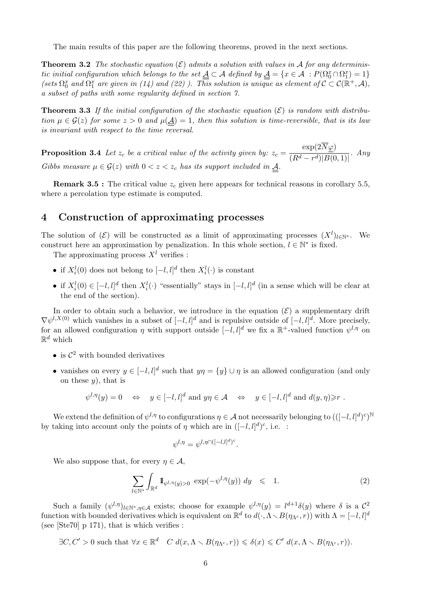The main results of this paper are the following theorems, proved in the next sections.

**Theorem 3.2** The stochastic equation  $(\mathcal{E})$  admits a solution with values in A for any deterministic initial configuration which belongs to the set  $\underline{A} \subset A$  defined by  $\underline{A} = \{x \in A : P(\Omega_0^x \cap \Omega_1^x) = 1\}$ (sets  $\Omega_0^x$  and  $\Omega_1^x$  are given in (14) and (22)). This solution is unique as element of  $\mathcal{C} \subset \mathcal{C}(\mathbb{R}^+, \mathcal{A})$ , a subset of paths with some regularity defined in section 7.

**Theorem 3.3** If the initial configuration of the stochastic equation  $(\mathcal{E})$  is random with distribution  $\mu \in \mathcal{G}(z)$  for some  $z > 0$  and  $\mu(\underline{A}) = 1$ , then this solution is time-reversible, that is its law is invariant with respect to the time reversal.

**Proposition 3.4** Let  $z_c$  be a critical value of the activity given by:  $z_c =$  $\exp(2N\varphi)$  $\frac{P}{(R^d-r^d)|B(0,1)|}$ . Any Gibbs measure  $\mu \in \mathcal{G}(z)$  with  $0 < z < z_c$  has its support included in  $\underline{A}$ .

**Remark 3.5 :** The critical value  $z_c$  given here appears for technical reasons in corollary 5.5, where a percolation type estimate is computed.

## 4 Construction of approximating processes

The solution of  $(\mathcal{E})$  will be constructed as a limit of approximating processes  $(X^l)_{l\in\mathbb{N}^*}$ . We construct here an approximation by penalization. In this whole section,  $l \in \mathbb{N}^*$  is fixed.

The approximating process  $X<sup>l</sup>$  verifies :

- if  $X_i^l(0)$  does not belong to  $[-l, l]^d$  then  $X_i^l(\cdot)$  is constant
- if  $X_i^l(0) \in [-l, l]^d$  then  $X_i^l(\cdot)$  "essentially" stays in  $[-l, l]^d$  (in a sense which will be clear at the end of the section).

In order to obtain such a behavior, we introduce in the equation  $(\mathcal{E})$  a supplementary drift  $\nabla \psi^{l,X(0)}$  which vanishes in a subset of  $[-l, l]^d$  and is repulsive outside of  $[-l, l]^d$ . More precisely, for an allowed configuration  $\eta$  with support outside  $[-l, l]^d$  we fix a  $\mathbb{R}^+$ -valued function  $\psi^{l, \eta}$  on  $\mathbb{R}^d$  which

- is  $\mathcal{C}^2$  with bounded derivatives
- vanishes on every  $y \in [-l, l]^d$  such that  $y\eta = \{y\} \cup \eta$  is an allowed configuration (and only on these  $y$ , that is

$$
\psi^{l,\eta}(y) = 0 \quad \Leftrightarrow \quad y \in [-l,l]^d \text{ and } y\eta \in \mathcal{A} \quad \Leftrightarrow \quad y \in [-l,l]^d \text{ and } d(y,\eta) \geq r.
$$

We extend the definition of  $\psi^{l,\eta}$  to configurations  $\eta \in \mathcal{A}$  not necessarily belonging to  $(([-l, l]^d)^c)^{\mathbb{N}}$ by taking into account only the points of  $\eta$  which are in  $([-l, l]^d)^c$ , i.e. :

$$
\psi^{l,\eta} = \psi^{l,\eta \cap ([-l,l]^d)^c}.
$$

We also suppose that, for every  $\eta \in \mathcal{A}$ ,

$$
\sum_{l \in \mathbb{N}^*} \int_{\mathbb{R}^d} \mathbb{I}_{\psi^{l,\eta}(y)>0} \exp(-\psi^{l,\eta}(y)) dy \leq 1.
$$
 (2)

Such a family  $(\psi^{l,\eta})_{l\in\mathbb{N}^*,\eta\in\mathcal{A}}$  exists; choose for example  $\psi^{l,\eta}(y)=l^{d+1}\delta(y)$  where  $\delta$  is a  $\mathcal{C}^2$ function with bounded derivatives which is equivalent on  $\mathbb{R}^d$  to  $d(\cdot, \Lambda \setminus B(\eta_{\Lambda^c}, r))$  with  $\Lambda = [-l, l]^d$ (see [Ste70] p 171), that is which verifies :

 $\exists C, C' > 0$  such that  $\forall x \in \mathbb{R}^d$   $C d(x, \Lambda \setminus B(\eta_{\Lambda^c}, r)) \leqslant \delta(x) \leqslant C' d(x, \Lambda \setminus B(\eta_{\Lambda^c}, r)).$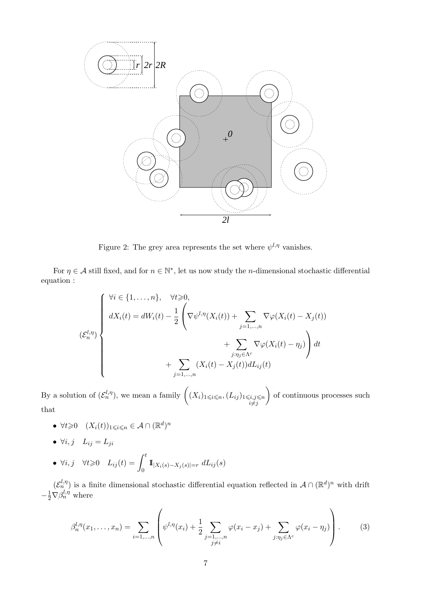

Figure 2: The grey area represents the set where  $\psi^{l,\eta}$  vanishes.

For  $\eta \in A$  still fixed, and for  $n \in \mathbb{N}^*$ , let us now study the *n*-dimensional stochastic differential equation :

$$
\left\{\n\begin{aligned}\n\forall i \in \{1, \ldots, n\}, &\forall t \geq 0, \\
dX_i(t) = dW_i(t) - \frac{1}{2} \left( \nabla \psi^{l, \eta}(X_i(t)) + \sum_{j=1, \ldots, n} \nabla \varphi(X_i(t) - X_j(t)) + \sum_{j: \eta_j \in \Lambda^c} \nabla \varphi(X_i(t) - \eta_j) \right) dt \\
&+ \sum_{j=1, \ldots, n} (X_i(t) - X_j(t)) dL_{ij}(t)\n\end{aligned}\n\right\}
$$

By a solution of  $(\mathcal{E}_n^{l,\eta})$ , we mean a family  $((X_i)_{1\leqslant i\leqslant n},(L_{ij})_{1\leqslant i,j\leqslant n}$  $i \neq j$ ) of continuous processes such that

• 
$$
\forall t \geq 0
$$
  $(X_i(t))_{1 \leq i \leq n} \in \mathcal{A} \cap (\mathbb{R}^d)^n$ 

•  $\forall i, j \quad L_{ij} = L_{ji}$ 

• 
$$
\forall i, j \quad \forall t \geq 0 \quad L_{ij}(t) = \int_0^t \mathbb{I}_{|X_i(s) - X_j(s)| = r} dL_{ij}(s)
$$

 $(\mathcal{E}_n^{l,\eta})$  is a finite dimensional stochastic differential equation reflected in  $\mathcal{A} \cap (\mathbb{R}^d)^n$  with drift  $-\frac{1}{2}\nabla \beta_n^{l,\eta}$  where

$$
\beta_n^{l,\eta}(x_1,\ldots,x_n) = \sum_{i=1,\ldots,n} \left( \psi^{l,\eta}(x_i) + \frac{1}{2} \sum_{\substack{j=1,\ldots,n \\ j \neq i}} \varphi(x_i - x_j) + \sum_{j:\eta_j \in \Lambda^c} \varphi(x_i - \eta_j) \right).
$$
 (3)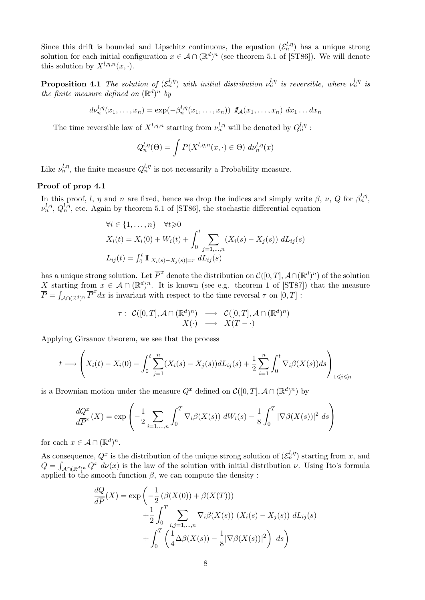Since this drift is bounded and Lipschitz continuous, the equation  $(\mathcal{E}_n^{l,\eta})$  has a unique strong solution for each initial configuration  $x \in A \cap (\mathbb{R}^d)^n$  (see theorem 5.1 of [ST86]). We will denote this solution by  $X^{l,\eta,n}(x, \cdot)$ .

**Proposition 4.1** The solution of  $(\mathcal{E}_n^{l,\eta})$  with initial distribution  $\nu_n^{l,\eta}$  is reversible, where  $\nu_n^{l,\eta}$  is the finite measure defined on  $(\mathbb{R}^d)^n$  by

$$
d\nu_n^{l,\eta}(x_1,\ldots,x_n)=\exp(-\beta_n^{l,\eta}(x_1,\ldots,x_n))\mathbf{1}_{\mathcal{A}}(x_1,\ldots,x_n)\,dx_1\ldots dx_n
$$

The time reversible law of  $X^{l,\eta,n}$  starting from  $\nu_n^{l,\eta}$  will be denoted by  $Q_n^{l,\eta}$ :

$$
Q_n^{l,\eta}(\Theta) = \int P(X^{l,\eta,n}(x,\cdot) \in \Theta) d\nu_n^{l,\eta}(x)
$$

Like  $\nu_n^{l,\eta}$ , the finite measure  $Q_n^{l,\eta}$  is not necessarily a Probability measure.

#### Proof of prop 4.1

In this proof, l,  $\eta$  and n are fixed, hence we drop the indices and simply write  $\beta$ ,  $\nu$ , Q for  $\beta_n^{l,\eta}$ ,  $\nu_n^{l,\eta}, Q_n^{l,\eta}$ , etc. Again by theorem 5.1 of [ST86], the stochastic differential equation

$$
\forall i \in \{1, ..., n\} \quad \forall t \geq 0
$$
  
\n
$$
X_i(t) = X_i(0) + W_i(t) + \int_0^t \sum_{j=1,...,n} (X_i(s) - X_j(s)) dL_{ij}(s)
$$
  
\n
$$
L_{ij}(t) = \int_0^t \mathbf{1}_{|X_i(s) - X_j(s)| = r} dL_{ij}(s)
$$

has a unique strong solution. Let  $\overline{P}^x$  denote the distribution on  $\mathcal{C}([0,T], A \cap (\mathbb{R}^d)^n)$  of the solution X starting from  $x \in A \cap (\mathbb{R}^d)^n$ . It is known (see e.g. theorem 1 of [ST87]) that the measure  $\overline{P} = \int_{\mathcal{A}\cap(\mathbb{R}^d)^n} \overline{P}^x dx$  is invariant with respect to the time reversal  $\tau$  on  $[0, T]$ :

$$
\tau: C([0,T], \mathcal{A} \cap (\mathbb{R}^d)^n) \longrightarrow C([0,T], \mathcal{A} \cap (\mathbb{R}^d)^n)
$$
  

$$
X(\cdot) \longrightarrow X(T - \cdot)
$$

Applying Girsanov theorem, we see that the process

$$
t \longrightarrow \left(X_i(t) - X_i(0) - \int_0^t \sum_{j=1}^n (X_i(s) - X_j(s))dL_{ij}(s) + \frac{1}{2} \sum_{i=1}^n \int_0^t \nabla_i \beta(X(s))ds\right)_{1 \leqslant i \leqslant n}
$$

is a Brownian motion under the measure  $Q^x$  defined on  $\mathcal{C}([0,T], \mathcal{A} \cap (\mathbb{R}^d)^n)$  by

$$
\frac{dQ^x}{d\overline{P}^x}(X) = \exp\left(-\frac{1}{2}\sum_{i=1,\dots,n}\int_0^T \nabla_i \beta(X(s)) \ dW_i(s) - \frac{1}{8}\int_0^T |\nabla \beta(X(s))|^2 \ ds\right)
$$

for each  $x \in \mathcal{A} \cap (\mathbb{R}^d)^n$ .

As consequence,  $Q^x$  is the distribution of the unique strong solution of  $(\mathcal{E}_n^{l,\eta})$  starting from x, and  $Q = \int_{\mathcal{A}\cap(\mathbb{R}^d)^n} Q^x \, d\nu(x)$  is the law of the solution with initial distribution  $\nu$ . Using Ito's formula applied to the smooth function  $\beta$ , we can compute the density :

$$
\frac{dQ}{dP}(X) = \exp\left(-\frac{1}{2}\left(\beta(X(0)) + \beta(X(T))\right)\right)
$$

$$
+\frac{1}{2}\int_0^T \sum_{i,j=1,\dots,n} \nabla_i\beta(X(s))\left(X_i(s) - X_j(s)\right) dL_{ij}(s)
$$

$$
+\int_0^T \left(\frac{1}{4}\Delta\beta(X(s)) - \frac{1}{8}|\nabla\beta(X(s))|^2\right) ds\right)
$$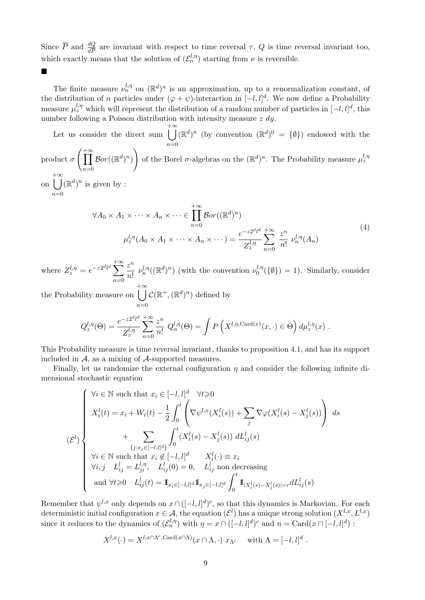Since  $\overline{P}$  and  $\frac{dQ}{dP}$  are invariant with respect to time reversal  $\tau$ , Q is time reversal invariant too, which exactly means that the solution of  $(\mathcal{E}_n^{l,\eta})$  starting from  $\nu$  is reversible.

The finite measure  $\nu_n^{l,\eta}$  on  $(\mathbb{R}^d)^n$  is an approximation, up to a renormalization constant, of the distribution of n particles under  $(\varphi + \psi)$ -interaction in  $[-l, l]^d$ . We now define a Probability measure  $\mu_z^{l,\eta}$  which will represent the distribution of a random number of particles in  $[-l,l]^d$ , this number following a Poisson distribution with intensity measure  $z \, dy$ .

Let us consider the direct sum  $+ \infty$  $n=0$  $(\mathbb{R}^d)^n$  (by convention  $(\mathbb{R}^d)^0 = {\emptyset}$ ) endowed with the product  $\sigma$  $\int_{1}^{+\infty}$  $n=0$  ${\mathcal B}or((\mathbb{R}^d)^n)$  $\setminus$ of the Borel  $\sigma$ -algebras on the  $(\mathbb{R}^d)^n$ . The Probability measure  $\mu_z^{l,\eta}$ on  $+ \infty$  $n=0$  $(\mathbb{R}^d)^n$  is given by :

$$
\forall A_0 \times A_1 \times \cdots \times A_n \times \cdots \in \prod_{n=0}^{+\infty} \mathcal{B}or((\mathbb{R}^d)^n)
$$
  

$$
\mu_z^{l,\eta}(A_0 \times A_1 \times \cdots \times A_n \times \cdots) = \frac{e^{-z2^{d_l d}}}{Z_z^{l,\eta}} \sum_{n=0}^{+\infty} \frac{z^n}{n!} \nu_n^{l,\eta}(A_n)
$$
  
(4)

where  $Z_z^{l,\eta} = e^{-z2^d l^d} \sum_{l=1}^{+\infty}$  $n=0$  $z^n$  $\frac{z}{n!} \nu_n^{l,\eta}((\mathbb{R}^d)^n)$  (with the convention  $\nu_0^{l,\eta}$  $\binom{l,\eta}{0}$  ( $\{\emptyset\}$ ) = 1). Similarly, consider

the Probability measure on  $+ \infty$  $n=0$  $\mathcal{C}(\mathbb{R}^+,\mathbb{(R}^d)^n)$  defined by

 $\blacksquare$ 

$$
Q_z^{l,\eta}(\Theta) = \frac{e^{-z2^d l^d}}{Z_z^{l,\eta}} \sum_{n=0}^{+\infty} \frac{z^n}{n!} Q_n^{l,\eta}(\Theta) = \int P\left(X^{l,\eta,\text{Card}(x)}(x,\cdot) \in \Theta\right) d\mu_z^{l,\eta}(x) .
$$

This Probability measure is time reversal invariant, thanks to proposition 4.1, and has its support included in  $A$ , as a mixing of  $A$ -supported measures.

Finally, let us randomize the external configuration  $\eta$  and consider the following infinite dimensional stochastic equation

$$
(\mathcal{E}^l)
$$
\n
$$
\mathcal{E}^l
$$
\n
$$
\mathcal{E}^l
$$
\n
$$
\mathcal{E}^l
$$
\n
$$
\mathcal{E}^l
$$
\n
$$
\mathcal{E}^l
$$
\n
$$
\mathcal{E}^l
$$
\n
$$
\mathcal{E}^l
$$
\n
$$
\mathcal{E}^l
$$
\n
$$
\mathcal{E}^l
$$
\n
$$
\mathcal{E}^l
$$
\n
$$
\mathcal{E}^l
$$
\n
$$
\mathcal{E}^l
$$
\n
$$
\mathcal{E}^l
$$
\n
$$
\mathcal{E}^l
$$
\n
$$
\mathcal{E}^l
$$
\n
$$
\mathcal{E}^l
$$
\n
$$
\mathcal{E}^l
$$
\n
$$
\mathcal{E}^l
$$
\n
$$
\mathcal{E}^l
$$
\n
$$
\mathcal{E}^l
$$
\n
$$
\mathcal{E}^l
$$
\n
$$
\mathcal{E}^l
$$
\n
$$
\mathcal{E}^l
$$
\n
$$
\mathcal{E}^l
$$
\n
$$
\mathcal{E}^l
$$
\n
$$
\mathcal{E}^l
$$
\n
$$
\mathcal{E}^l
$$
\n
$$
\mathcal{E}^l
$$
\n
$$
\mathcal{E}^l
$$
\n
$$
\mathcal{E}^l
$$
\n
$$
\mathcal{E}^l
$$
\n
$$
\mathcal{E}^l
$$
\n
$$
\mathcal{E}^l
$$
\n
$$
\mathcal{E}^l
$$
\n
$$
\mathcal{E}^l
$$
\n
$$
\mathcal{E}^l
$$
\n
$$
\mathcal{E}^l
$$
\n
$$
\mathcal{E}^l
$$
\n
$$
\mathcal{E}^l
$$
\n
$$
\mathcal{E}^l
$$
\n
$$
\mathcal{E}^l
$$
\n
$$
\mathcal{E}^l
$$
\n
$$
\mathcal{E}^l
$$
\n
$$
\mathcal{E}^l
$$
\

Remember that  $\psi^{l,x}$  only depends on  $x \cap ([-l,l]^d)^c$ , so that this dynamics is Markovian. For each deterministic initial configuration  $x \in A$ , the equation  $(\mathcal{E}^l)$  has a unique strong solution  $(X^{l,x}, L^{l,x})$ since it reduces to the dynamics of  $(\mathcal{E}_n^{l,\eta})$  with  $\eta = x \cap ([-l,l]^d)^c$  and  $n = \text{Card}(x \cap [-l,l]^d)$ :

$$
X^{l,x}(\cdot) = X^{l,x \cap \Lambda^c, \text{Card}(x \cap \Lambda)}(x \cap \Lambda, \cdot) \ x_{\Lambda^c} \quad \text{ with } \Lambda = [-l, l]^d.
$$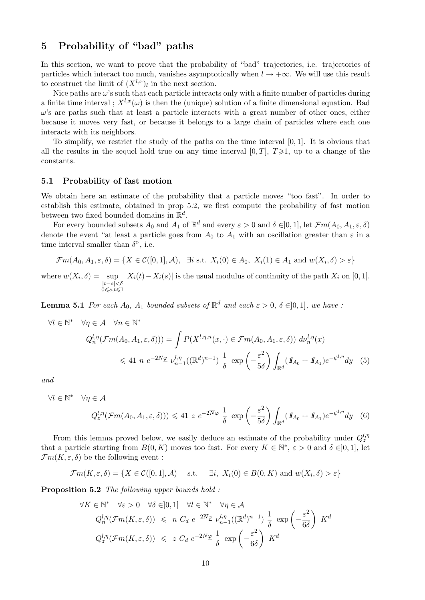## 5 Probability of "bad" paths

In this section, we want to prove that the probability of "bad" trajectories, i.e. trajectories of particles which interact too much, vanishes asymptotically when  $l \to +\infty$ . We will use this result to construct the limit of  $(X^{l,x})_l$  in the next section.

Nice paths are  $\omega$ 's such that each particle interacts only with a finite number of particles during a finite time interval ;  $X^{l,x}(\omega)$  is then the (unique) solution of a finite dimensional equation. Bad  $\omega$ 's are paths such that at least a particle interacts with a great number of other ones, either because it moves very fast, or because it belongs to a large chain of particles where each one interacts with its neighbors.

To simplify, we restrict the study of the paths on the time interval [0, 1]. It is obvious that all the results in the sequel hold true on any time interval  $[0, T]$ ,  $T \geq 1$ , up to a change of the constants.

#### 5.1 Probability of fast motion

We obtain here an estimate of the probability that a particle moves "too fast". In order to establish this estimate, obtained in prop 5.2, we first compute the probability of fast motion between two fixed bounded domains in  $\mathbb{R}^d$ .

For every bounded subsets  $A_0$  and  $A_1$  of  $\mathbb{R}^d$  and every  $\varepsilon > 0$  and  $\delta \in ]0,1]$ , let  $\mathcal{F}m(A_0, A_1, \varepsilon, \delta)$ denote the event "at least a particle goes from  $A_0$  to  $A_1$  with an oscillation greater than  $\varepsilon$  in a time interval smaller than  $\delta$ ", i.e.

$$
\mathcal{F}m(A_0, A_1, \varepsilon, \delta) = \{ X \in \mathcal{C}([0, 1], \mathcal{A}), \exists i \text{ s.t. } X_i(0) \in A_0, X_i(1) \in A_1 \text{ and } w(X_i, \delta) > \varepsilon \}
$$

where  $w(X_i, \delta) = \sup$ |t−s|<δ<br>0≤s,t≤1  $|X_i(t)-X_i(s)|$  is the usual modulus of continuity of the path  $X_i$  on [0, 1].

**Lemma 5.1** For each  $A_0$ ,  $A_1$  bounded subsets of  $\mathbb{R}^d$  and each  $\varepsilon > 0$ ,  $\delta \in ]0,1]$ , we have :

$$
\forall l \in \mathbb{N}^* \quad \forall \eta \in \mathcal{A} \quad \forall n \in \mathbb{N}^* \nQ_n^{l, \eta}(\mathcal{F}m(A_0, A_1, \varepsilon, \delta))) = \int P(X^{l, \eta, n}(x, \cdot) \in \mathcal{F}m(A_0, A_1, \varepsilon, \delta)) d\nu_n^{l, \eta}(x) \n\leq 41 \, n \, e^{-2\overline{N}\varphi} \, \nu_{n-1}^{l, \eta}((\mathbb{R}^d)^{n-1}) \, \frac{1}{\delta} \, \exp\left(-\frac{\varepsilon^2}{5\delta}\right) \int_{\mathbb{R}^d} (I\!\!I_{A_0} + I\!\!I_{A_1}) e^{-\psi^{l, \eta}} dy \tag{5}
$$

and

 $\forall l$ 

$$
\in \mathbb{N}^* \quad \forall \eta \in \mathcal{A}
$$
\n
$$
Q_z^{l,\eta}(\mathcal{F}m(A_0, A_1, \varepsilon, \delta))) \leq 41 \ z \ e^{-2\overline{N}\varphi} \frac{1}{\delta} \exp\left(-\frac{\varepsilon^2}{5\delta}\right) \int_{\mathbb{R}^d} (\mathbf{1}_{A_0} + \mathbf{1}_{A_1}) e^{-\psi^{l,\eta}} dy \quad (6)
$$

From this lemma proved below, we easily deduce an estimate of the probability under  $Q_z^{l,\eta}$ that a particle starting from  $B(0, K)$  moves too fast. For every  $K \in \mathbb{N}^*, \varepsilon > 0$  and  $\delta \in ]0,1]$ , let  $\mathcal{F}m(K,\varepsilon,\delta)$  be the following event :

$$
\mathcal{F}m(K,\varepsilon,\delta) = \{ X \in \mathcal{C}([0,1],\mathcal{A}) \quad \text{s.t.} \quad \exists i, \ X_i(0) \in B(0,K) \text{ and } w(X_i,\delta) > \varepsilon \}
$$

Proposition 5.2 The following upper bounds hold:

$$
\forall K \in \mathbb{N}^* \quad \forall \varepsilon > 0 \quad \forall \delta \in ]0,1] \quad \forall l \in \mathbb{N}^* \quad \forall \eta \in \mathcal{A}
$$
  

$$
Q_n^{l,\eta}(\mathcal{F}m(K,\varepsilon,\delta)) \leq n \ C_d \ e^{-2\overline{N}\varphi} \ \nu_{n-1}^{l,\eta}((\mathbb{R}^d)^{n-1}) \ \frac{1}{\delta} \ \exp\left(-\frac{\varepsilon^2}{6\delta}\right) \ K^d
$$
  

$$
Q_z^{l,\eta}(\mathcal{F}m(K,\varepsilon,\delta)) \leq z \ C_d \ e^{-2\overline{N}\varphi} \ \frac{1}{\delta} \ \exp\left(-\frac{\varepsilon^2}{6\delta}\right) \ K^d
$$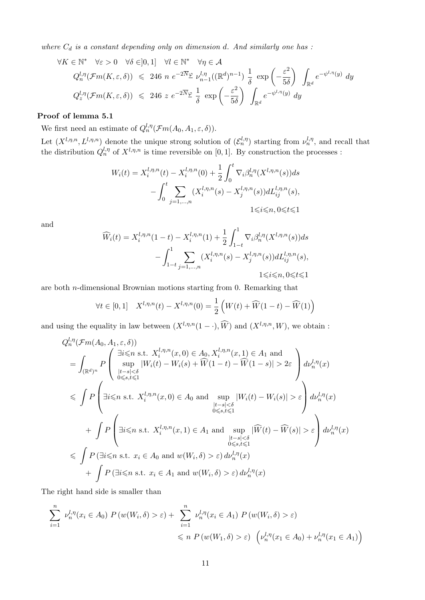where  $C_d$  is a constant depending only on dimension d. And similarly one has :

$$
\forall K \in \mathbb{N}^* \quad \forall \varepsilon > 0 \quad \forall \delta \in ]0,1] \quad \forall l \in \mathbb{N}^* \quad \forall \eta \in \mathcal{A}
$$
  

$$
Q_n^{l,\eta}(\mathcal{F}m(K,\varepsilon,\delta)) \leq 246 \ n \ e^{-2\overline{N}\varphi} \ \nu_{n-1}^{l,\eta}((\mathbb{R}^d)^{n-1}) \ \frac{1}{\delta} \ \exp\left(-\frac{\varepsilon^2}{5\delta}\right) \ \int_{\mathbb{R}^d} e^{-\psi^{l,\eta}(y)} \ dy
$$
  

$$
Q_z^{l,\eta}(\mathcal{F}m(K,\varepsilon,\delta)) \leq 246 \ z \ e^{-2\overline{N}\varphi} \ \frac{1}{\delta} \ \exp\left(-\frac{\varepsilon^2}{5\delta}\right) \ \int_{\mathbb{R}^d} e^{-\psi^{l,\eta}(y)} \ dy
$$

#### Proof of lemma 5.1

We first need an estimate of  $Q_n^{l,n}(\mathcal{F}m(A_0,A_1,\varepsilon,\delta)).$ 

Let  $(X^{l,\eta,n}, L^{l,\eta,n})$  denote the unique strong solution of  $(\mathcal{E}_n^{l,\eta})$  starting from  $\nu_n^{l,\eta}$ , and recall that the distribution  $Q_n^{l,\eta}$  of  $X^{l,\eta,n}$  is time reversible on [0,1]. By construction the processes :

$$
W_i(t) = X_i^{l,\eta,n}(t) - X_i^{l,\eta,n}(0) + \frac{1}{2} \int_0^t \nabla_i \beta_n^{l,\eta}(X^{l,\eta,n}(s)) ds - \int_0^t \sum_{j=1,\dots,n} (X_i^{l,\eta,n}(s) - X_j^{l,\eta,n}(s)) dL_{ij}^{l,\eta,n}(s),
$$
  
 $1 \le i \le n, 0 \le t \le 1$ 

and

$$
\widehat{W}_i(t) = X_i^{l,\eta,n}(1-t) - X_i^{l,\eta,n}(1) + \frac{1}{2} \int_{1-t}^1 \nabla_i \beta_n^{l,\eta}(X^{l,\eta,n}(s)) ds \n- \int_{1-t}^1 \sum_{j=1,\dots,n} (X_i^{l,\eta,n}(s) - X_j^{l,\eta,n}(s)) dL_{ij}^{l,\eta,n}(s),
$$
\n
$$
1 \le i \le n, 0 \le t \le 1
$$

are both n-dimensional Brownian motions starting from 0. Remarking that

$$
\forall t \in [0,1] \quad X^{l,\eta,n}(t) - X^{l,\eta,n}(0) = \frac{1}{2} \left( W(t) + \widehat{W}(1-t) - \widehat{W}(1) \right)
$$

and using the equality in law between  $(X^{l,\eta,n}(1-\cdot), \widehat{W})$  and  $(X^{l,\eta,n}, W)$ , we obtain :

$$
Q_n^{l,\eta}(\mathcal{F}m(A_0, A_1, \varepsilon, \delta))
$$
\n
$$
= \int_{(\mathbb{R}^d)^n} P\left(\sup_{\substack{|t-s|<\delta\\0\leq s,t\leq 1}} |W_i(t) - W_i(s) + \widehat{W}(1-t) - \widehat{W}(1-s)| > 2\varepsilon\right) d\nu_n^{l,\eta}(x)
$$
\n
$$
\leq \int P\left(\exists i\leq n \text{ s.t. } X_i^{l,\eta,n}(x,0) \in A_0 \text{ and } \sup_{\substack{|t-s|<\delta\\0\leq s,t\leq 1}} |W_i(t) - W_i(s)| > \varepsilon\right) d\nu_n^{l,\eta}(x)
$$
\n
$$
+ \int P\left(\exists i\leq n \text{ s.t. } X_i^{l,\eta,n}(x,1) \in A_1 \text{ and } \sup_{\substack{|t-s|<\delta\\0\leq s,t\leq 1}} |\widehat{W}(t) - \widehat{W}(s)| > \varepsilon\right) d\nu_n^{l,\eta}(x)
$$
\n
$$
\leq \int P\left(\exists i\leq n \text{ s.t. } x_i \in A_0 \text{ and } w(W_i, \delta) > \varepsilon\right) d\nu_n^{l,\eta}(x)
$$
\n
$$
+ \int P\left(\exists i\leq n \text{ s.t. } x_i \in A_0 \text{ and } w(W_i, \delta) > \varepsilon\right) d\nu_n^{l,\eta}(x)
$$

The right hand side is smaller than

$$
\sum_{i=1}^{n} \nu_n^{l,\eta}(x_i \in A_0) \ P(w(W_i, \delta) > \varepsilon) + \sum_{i=1}^{n} \nu_n^{l,\eta}(x_i \in A_1) \ P(w(W_i, \delta) > \varepsilon)
$$
\n
$$
\leq n \ P(w(W_1, \delta) > \varepsilon) \ \left(\nu_n^{l,\eta}(x_1 \in A_0) + \nu_n^{l,\eta}(x_1 \in A_1)\right)
$$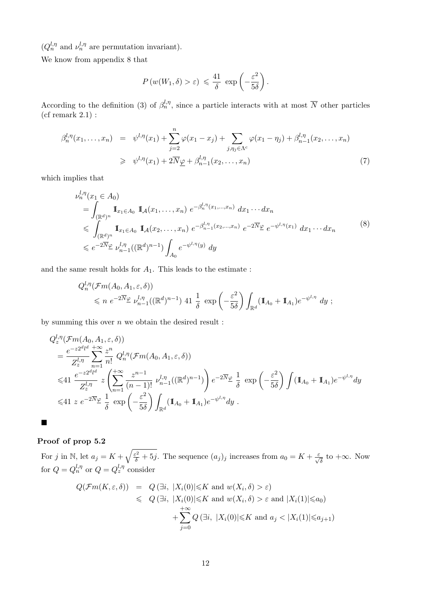$(Q_n^{l,\eta}$  and  $\nu_n^{l,\eta}$  are permutation invariant).

We know from appendix 8 that

$$
P(w(W_1, \delta) > \varepsilon) \leq \frac{41}{\delta} \exp\left(-\frac{\varepsilon^2}{5\delta}\right).
$$

According to the definition (3) of  $\beta_n^{l,\eta}$ , since a particle interacts with at most  $\overline{N}$  other particles (cf remark 2.1) :

$$
\beta_n^{l,\eta}(x_1,\ldots,x_n) = \psi^{l,\eta}(x_1) + \sum_{j=2}^n \varphi(x_1 - x_j) + \sum_{j,\eta_j \in \Lambda^c} \varphi(x_1 - \eta_j) + \beta_{n-1}^{l,\eta}(x_2,\ldots,x_n)
$$
  
\n
$$
\geq \psi^{l,\eta}(x_1) + 2\overline{N}\underline{\varphi} + \beta_{n-1}^{l,\eta}(x_2,\ldots,x_n)
$$
\n(7)

which implies that

$$
\nu_n^{l,\eta}(x_1 \in A_0)
$$
\n
$$
= \int_{(\mathbb{R}^d)^n} \mathbb{I}_{x_1 \in A_0} \mathbb{I}_{\mathcal{A}}(x_1, \dots, x_n) e^{-\beta_n^{l,\eta}(x_1, \dots, x_n)} dx_1 \cdots dx_n
$$
\n
$$
\leqslant \int_{(\mathbb{R}^d)^n} \mathbb{I}_{x_1 \in A_0} \mathbb{I}_{\mathcal{A}}(x_2, \dots, x_n) e^{-\beta_{n-1}^{l,\eta}(x_2, \dots, x_n)} e^{-2\overline{N}\varphi} e^{-\psi^{l,\eta}(x_1)} dx_1 \cdots dx_n
$$
\n
$$
\leqslant e^{-2\overline{N}\varphi} \nu_{n-1}^{l,\eta}((\mathbb{R}^d)^{n-1}) \int_{A_0} e^{-\psi^{l,\eta}(y)} dy
$$
\n
$$
(8)
$$

and the same result holds for  $\mathcal{A}_1.$  This leads to the estimate :

$$
Q_n^{l,\eta}(\mathcal{F}m(A_0, A_1, \varepsilon, \delta))
$$
  
\$\leqslant n e^{-2\overline{N}} \mathcal{L} \stackrel{l,\eta}{\nu}\_{n-1}((\mathbb{R}^d)^{n-1})\$ 41  $\frac{1}{\delta}$  exp $\left(-\frac{\varepsilon^2}{5\delta}\right) \int_{\mathbb{R}^d} (\mathbb{I}_{A_0} + \mathbb{I}_{A_1}) e^{-\psi^{l,\eta}} dy$ ;$ 

by summing this over  $n$  we obtain the desired result :

$$
Q_z^{l,\eta}(\mathcal{F}m(A_0, A_1, \varepsilon, \delta))
$$
  
=  $\frac{e^{-z2^d l^d}}{Z_z^{l,\eta}} \sum_{n=1}^{\infty} \frac{z^n}{n!} Q_n^{l,\eta}(\mathcal{F}m(A_0, A_1, \varepsilon, \delta))$   
 $\leq 41 \frac{e^{-z2^d l^d}}{Z_z^{l,\eta}} z \left( \sum_{n=1}^{\infty} \frac{z^{n-1}}{(n-1)!} \nu_{n-1}^{l,\eta}((\mathbb{R}^d)^{n-1}) \right) e^{-2\overline{N}\varphi} \frac{1}{\delta} \exp\left(-\frac{\varepsilon^2}{5\delta}\right) \int (\mathbb{I}_{A_0} + \mathbb{I}_{A_1}) e^{-\psi^{l,\eta}} dy$   
 $\leq 41 z e^{-2\overline{N}\varphi} \frac{1}{\delta} \exp\left(-\frac{\varepsilon^2}{5\delta}\right) \int_{\mathbb{R}^d} (\mathbb{I}_{A_0} + \mathbb{I}_{A_1}) e^{-\psi^{l,\eta}} dy.$ 

Proof of prop 5.2

 $\blacksquare$ 

For j in N, let  $a_j = K + \sqrt{\frac{\varepsilon^2}{\delta} + 5j}$ . The sequence  $(a_j)_j$  increases from  $a_0 = K + \frac{\varepsilon}{\sqrt{\delta}}$  to  $+\infty$ . Now for  $Q = Q_n^{l,\eta}$  or  $Q = Q_z^{l,\eta}$  consider

$$
Q(\mathcal{F}m(K,\varepsilon,\delta)) = Q(\exists i, |X_i(0)| \le K \text{ and } w(X_i,\delta) > \varepsilon)
$$
  
\$\le Q(\exists i, |X\_i(0)| \le K \text{ and } w(X\_i,\delta) > \varepsilon \text{ and } |X\_i(1)| \le a\_0)\$  

$$
+ \sum_{j=0}^{+\infty} Q(\exists i, |X_i(0)| \le K \text{ and } a_j < |X_i(1)| \le a_{j+1})
$$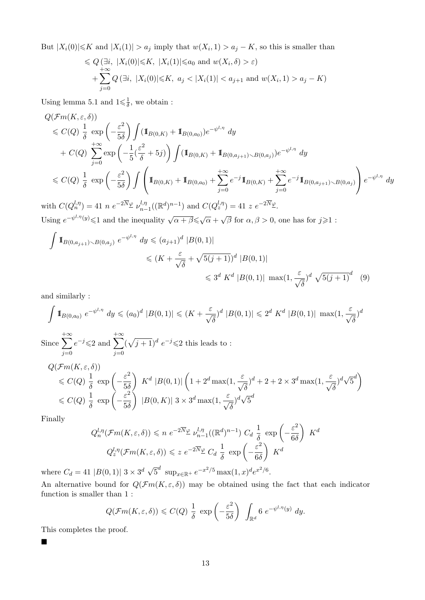But  $|X_i(0)| \le K$  and  $|X_i(1)| > a_j$  imply that  $w(X_i, 1) > a_j - K$ , so this is smaller than

$$
\leq Q\left(\exists i, |X_i(0)|\leq K, |X_i(1)|\leq a_0 \text{ and } w(X_i, \delta) > \varepsilon\right) + \sum_{j=0}^{+\infty} Q\left(\exists i, |X_i(0)|\leq K, a_j < |X_i(1)| < a_{j+1} \text{ and } w(X_i, 1) > a_j - K\right)
$$

Using lemma 5.1 and  $1 \leq \frac{1}{\delta}$  $\frac{1}{\delta}$ , we obtain :

$$
Q(\mathcal{F}m(K,\varepsilon,\delta))
$$
  
\n
$$
\leq C(Q) \frac{1}{\delta} \exp\left(-\frac{\varepsilon^2}{5\delta}\right) \int (\mathbb{I}_{B(0,K)} + \mathbb{I}_{B(0,a_0)}) e^{-\psi^{l,\eta}} dy
$$
  
\n
$$
+ C(Q) \sum_{j=0}^{+\infty} \exp\left(-\frac{1}{5}(\frac{\varepsilon^2}{\delta} + 5j)\right) \int (\mathbb{I}_{B(0,K)} + \mathbb{I}_{B(0,a_{j+1}) \setminus B(0,a_j)}) e^{-\psi^{l,\eta}} dy
$$
  
\n
$$
\leq C(Q) \frac{1}{\delta} \exp\left(-\frac{\varepsilon^2}{5\delta}\right) \int \left(\mathbb{I}_{B(0,K)} + \mathbb{I}_{B(0,a_0)} + \sum_{j=0}^{+\infty} e^{-j} \mathbb{I}_{B(0,K)} + \sum_{j=0}^{+\infty} e^{-j} \mathbb{I}_{B(0,a_{j+1}) \setminus B(0,a_j)}\right) e^{-\psi^{l,\eta}} dy
$$
  
\n
$$
\leq C(Q) \frac{1}{\delta} \exp\left(-\frac{\varepsilon^2}{5\delta}\right) \int \left(\mathbb{I}_{B(0,K)} + \mathbb{I}_{B(0,a_0)} + \sum_{j=0}^{+\infty} e^{-j} \mathbb{I}_{B(0,K)} + \sum_{j=0}^{+\infty} e^{-j} \mathbb{I}_{B(0,a_{j+1}) \setminus B(0,a_j)}\right) e^{-\psi^{l,\eta}} dy
$$

with  $C(Q_n^{l,\eta}) = 41 n e^{-2\overline{N}}\varphi \nu_{n-l}^{l,\eta}$  $_{n-1}^{l,\eta}((\mathbb{R}^d)^{n-1})$  and  $C(Q_z^{l,\eta}) = 41$  z  $e^{-2\overline{N}}\mathscr{L}$ . Using  $e^{-\psi^{l,\eta}(y)} \leq 1$  and the inequality  $\sqrt{\alpha+\beta} \leq \sqrt{\alpha}$  +  $\sqrt{\beta}$  for  $\alpha, \beta > 0$ , one has for  $j \geq 1$ :

$$
\int \mathbb{I}_{B(0,a_{j+1}) \setminus B(0,a_j)} e^{-\psi^{l,\eta}} dy \leqslant (a_{j+1})^d |B(0,1)|
$$
  

$$
\leqslant (K + \frac{\varepsilon}{\sqrt{\delta}} + \sqrt{5(j+1)})^d |B(0,1)|
$$
  

$$
\leqslant 3^d K^d |B(0,1)| \max(1, \frac{\varepsilon}{\sqrt{\delta}})^d \sqrt{5(j+1)}^d \quad (9)
$$

and similarly :

$$
\int \mathbb{1}_{B(0,a_0)} e^{-\psi^{l,\eta}} dy \leq (a_0)^d |B(0,1)| \leq (K + \frac{\varepsilon}{\sqrt{\delta}})^d |B(0,1)| \leq 2^d K^d |B(0,1)| \max(1, \frac{\varepsilon}{\sqrt{\delta}})^d
$$

Since  $\sum$  $+\infty$  $j=0$  $e^{-j} \leqslant 2$  and  $\sum$  $+\infty$  $j=0$  $(\sqrt{j+1})^d e^{-j} \leq 2$  this leads to:  $Q(\mathcal{F}m(K,\varepsilon,\delta))$ 

$$
\leq C(Q) \frac{1}{\delta} \exp\left(-\frac{\varepsilon^2}{5\delta}\right) K^d |B(0,1)| \left(1 + 2^d \max(1, \frac{\varepsilon}{\sqrt{\delta}})^d + 2 + 2 \times 3^d \max(1, \frac{\varepsilon}{\sqrt{\delta}})^d \sqrt{5}^d\right)
$$
  

$$
\leq C(Q) \frac{1}{\delta} \exp\left(-\frac{\varepsilon^2}{5\delta}\right) |B(0, K)| |3 \times 3^d \max(1, \frac{\varepsilon}{\sqrt{\delta}})^d \sqrt{5}^d
$$

Finally

$$
Q_n^{l,\eta}(\mathcal{F}m(K,\varepsilon,\delta)) \le n \ e^{-2\overline{N}\varphi} \nu_{n-1}^{l,\eta}((\mathbb{R}^d)^{n-1}) \ C_d \ \frac{1}{\delta} \ \exp\left(-\frac{\varepsilon^2}{6\delta}\right) \ K^d
$$

$$
Q_z^{l,\eta}(\mathcal{F}m(K,\varepsilon,\delta)) \le z \ e^{-2\overline{N}\varphi} \ C_d \ \frac{1}{\delta} \ \exp\left(-\frac{\varepsilon^2}{6\delta}\right) \ K^d
$$

where  $C_d = 41 |B(0,1)| 3 \times 3^d \sqrt{ }$  $\overline{5}^d \ \sup_{x \in \mathbb{R}^+} e^{-x^2/5} \max(1, x)^d e^{x^2/6}.$ 

An alternative bound for  $Q(\mathcal{F}m(K,\varepsilon,\delta))$  may be obtained using the fact that each indicator function is smaller than 1 :

$$
Q(\mathcal{F}m(K,\varepsilon,\delta)) \leq C(Q) \frac{1}{\delta} \exp\left(-\frac{\varepsilon^2}{5\delta}\right) \int_{\mathbb{R}^d} 6 e^{-\psi^{l,\eta}(y)} dy.
$$

This completes the proof.

П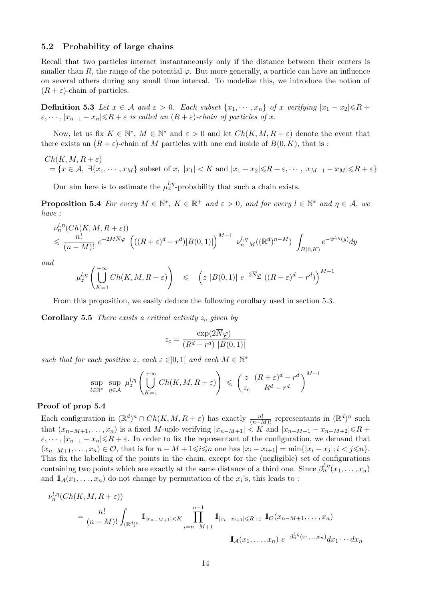#### 5.2 Probability of large chains

Recall that two particles interact instantaneously only if the distance between their centers is smaller than R, the range of the potential  $\varphi$ . But more generally, a particle can have an influence on several others during any small time interval. To modelize this, we introduce the notion of  $(R + \varepsilon)$ -chain of particles.

**Definition 5.3** Let  $x \in A$  and  $\varepsilon > 0$ . Each subset  $\{x_1, \dots, x_n\}$  of x verifying  $|x_1 - x_2| \le R$  +  $\varepsilon, \dots, |x_{n-1}-x_n| \le R + \varepsilon$  is called an  $(R+\varepsilon)$ -chain of particles of x.

Now, let us fix  $K \in \mathbb{N}^*$ ,  $M \in \mathbb{N}^*$  and  $\varepsilon > 0$  and let  $Ch(K, M, R + \varepsilon)$  denote the event that there exists an  $(R + \varepsilon)$ -chain of M particles with one end inside of  $B(0, K)$ , that is:

$$
Ch(K, M, R + \varepsilon)
$$
  
=  $\{x \in A, \exists \{x_1, \dots, x_M\}$  subset of x,  $|x_1| < K$  and  $|x_1 - x_2| \le R + \varepsilon, \dots, |x_{M-1} - x_M| \le R + \varepsilon\}$ 

Our aim here is to estimate the  $\mu_z^{l,\eta}$ -probability that such a chain exists.

**Proposition 5.4** For every  $M \in \mathbb{N}^*$ ,  $K \in \mathbb{R}^+$  and  $\varepsilon > 0$ , and for every  $l \in \mathbb{N}^*$  and  $\eta \in \mathcal{A}$ , we have :

$$
\nu_n^{l,\eta}(Ch(K,M,R+\varepsilon))
$$
  

$$
\leqslant \frac{n!}{(n-M)!} e^{-2M\overline{N}\underline{\varphi}} \left( ((R+\varepsilon)^d - r^d) |B(0,1)| \right)^{M-1} \nu_{n-M}^{l,\eta}((\mathbb{R}^d)^{n-M}) \int_{B(0,K)} e^{-\psi^{l,\eta}(y)} dy
$$

and

$$
\mu_z^{l,\eta} \left( \bigcup_{K=1}^{+\infty} Ch(K,M,R+\varepsilon) \right) \leqslant \left( z \, |B(0,1)| \, e^{-2\overline{N}} \mathcal{L} \left( (R+\varepsilon)^d - r^d \right) \right)^{M-1}
$$

From this proposition, we easily deduce the following corollary used in section 5.3.

**Corollary 5.5** There exists a critical activity  $z_c$  given by

$$
z_c = \frac{\exp(2\overline{N}\varphi)}{(R^d - r^d) |B(0, 1)|}
$$

such that for each positive z, each  $\varepsilon \in ]0,1[$  and each  $M \in \mathbb{N}^*$ 

$$
\sup_{l \in \mathbb{N}^*} \sup_{\eta \in \mathcal{A}} \mu_z^{l, \eta} \left( \bigcup_{K=1}^{+\infty} Ch(K, M, R + \varepsilon) \right) \leq \left( \frac{z}{z_c} \frac{(R + \varepsilon)^d - r^d}{R^d - r^d} \right)^{M-1}
$$

## Proof of prop 5.4

Each configuration in  $(\mathbb{R}^d)^n \cap Ch(K, M, R + \varepsilon)$  has exactly  $\frac{n!}{(n-M)!}$  representants in  $(\mathbb{R}^d)^n$  such that  $(x_{n-M+1},...,x_n)$  is a fixed M-uple verifying  $|x_{n-M+1}| \leq K$  and  $|x_{n-M+1} - x_{n-M+2}| \leq R +$  $\varepsilon, \dots, |x_{n-1}-x_n| \leq R + \varepsilon$ . In order to fix the representant of the configuration, we demand that  $(x_{n-M+1},...,x_n) \in \mathcal{O}$ , that is for  $n-M+1 \leq i \leq n$  one has  $|x_i - x_{i+1}| = \min\{|x_i - x_i|; i < j \leq n\}.$ This fix the labelling of the points in the chain, except for the (negligible) set of configurations containing two points which are exactly at the same distance of a third one. Since  $\beta_n^{l,\eta}(x_1,\ldots,x_n)$ and  $\mathbb{I}_{\mathcal{A}}(x_1,\ldots,x_n)$  do not change by permutation of the  $x_i$ 's, this leads to :

$$
\nu_n^{l,\eta}(Ch(K,M,R+\varepsilon))
$$
  
= 
$$
\frac{n!}{(n-M)!} \int_{(\mathbb{R}^d)^n} \mathbb{I}_{|x_{n-M+1}| < K} \prod_{i=n-M+1}^{n-1} \mathbb{I}_{|x_i-x_{i+1}| \leq R+\varepsilon} \mathbb{I}_{\mathcal{O}}(x_{n-M+1},...,x_n)
$$
  

$$
\mathbb{I}_{\mathcal{A}}(x_1,...,x_n) e^{-\beta_n^{l,\eta}(x_1,...,x_n)} dx_1 \cdots dx_n
$$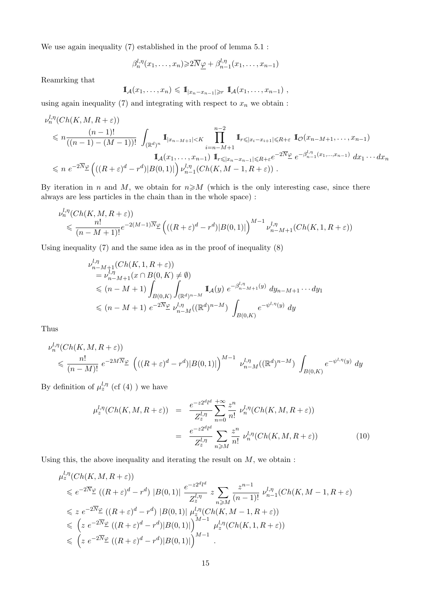We use again inequality (7) established in the proof of lemma 5.1 :

$$
\beta_n^{l,\eta}(x_1,\ldots,x_n) \geqslant 2\overline{N}_{\underline{\varphi}} + \beta_{n-1}^{l,\eta}(x_1,\ldots,x_{n-1})
$$

Reamrking that

$$
\mathbb{I}_{\mathcal{A}}(x_1,\ldots,x_n)\leqslant \mathbb{I}_{|x_n-x_{n-1}|\geqslant r}\mathbb{I}_{\mathcal{A}}(x_1,\ldots,x_{n-1}),
$$

using again inequality  $(7)$  and integrating with respect to  $x_n$  we obtain :

$$
\nu_n^{l,\eta}(Ch(K,M,R+\varepsilon))
$$
\n
$$
\leq n \frac{(n-1)!}{((n-1)-(M-1))!} \int_{(\mathbb{R}^d)^n} \mathbb{I}_{|x_{n-M+1}| < K} \prod_{i=n-M+1}^{n-2} \mathbb{I}_{r \leq |x_i - x_{i+1}| \leq R + \varepsilon} \mathbb{I}_{\mathcal{O}}(x_{n-M+1}, \dots, x_{n-1})
$$
\n
$$
\mathbb{I}_{\mathcal{A}}(x_1, \dots, x_{n-1}) \mathbb{I}_{r \leq |x_n - x_{n-1}| \leq R + \varepsilon} e^{-2\overline{N}\varphi} e^{-\beta_{n-1}^{l,\eta}(x_1, \dots, x_{n-1})} dx_1 \cdots dx_n
$$
\n
$$
\leq n \ e^{-2\overline{N}\varphi} \left( ((R+\varepsilon)^d - r^d) |B(0,1)| \right) \nu_{n-1}^{l,\eta}(Ch(K,M-1,R+\varepsilon)).
$$

By iteration in n and M, we obtain for  $n \ge M$  (which is the only interesting case, since there always are less particles in the chain than in the whole space) :

$$
\nu_n^{l,\eta}(Ch(K,M,R+\varepsilon))
$$
  
\$\leqslant \frac{n!}{(n-M+1)!}e^{-2(M-1)\overline{N}}\mathcal{L}\left(((R+\varepsilon)^d-r^d)|B(0,1)|\right)^{M-1}\nu\_{n-M+1}^{l,\eta}(Ch(K,1,R+\varepsilon))\$

Using inequality (7) and the same idea as in the proof of inequality (8)

$$
\nu_{n-M+1}^{l,\eta}(Ch(K,1,R+\varepsilon))
$$
\n
$$
= \nu_{n-M+1}^{l,\eta}(x \cap B(0,K) \neq \emptyset)
$$
\n
$$
\leq (n-M+1) \int_{B(0,K)} \int_{(\mathbb{R}^d)^{n-M}} \mathbb{I}_{\mathcal{A}}(y) e^{-\beta_{n-M+1}^{l,\eta}(y)} dy_{n-M+1} \cdots dy_1
$$
\n
$$
\leq (n-M+1) e^{-2\overline{N}} \mathcal{L} \nu_{n-M}^{l,\eta}((\mathbb{R}^d)^{n-M}) \int_{B(0,K)} e^{-\psi^{l,\eta}(y)} dy
$$

Thus

$$
\nu_n^{l,\eta}(Ch(K,M,R+\varepsilon))
$$
  
\$\leq\$  $\frac{n!}{(n-M)!}e^{-2M\overline{N}\varphi}\left(((R+\varepsilon)^d-r^d)|B(0,1)|\right)^{M-1}\nu_{n-M}^{l,\eta}((\mathbb{R}^d)^{n-M})\int_{B(0,K)}e^{-\psi^{l,\eta}(y)}dy$ 

By definition of  $\mu_z^{l,\eta}$  (cf (4)) we have

$$
\mu_z^{l,\eta}(Ch(K,M,R+\varepsilon)) = \frac{e^{-z2^dl^d}}{Z_z^{l,\eta}} \sum_{n=0}^{+\infty} \frac{z^n}{n!} \nu_n^{l,\eta}(Ch(K,M,R+\varepsilon))
$$

$$
= \frac{e^{-z2^dl^d}}{Z_z^{l,\eta}} \sum_{n \ge M} \frac{z^n}{n!} \nu_n^{l,\eta}(Ch(K,M,R+\varepsilon)) \tag{10}
$$

Using this, the above inequality and iterating the result on  $M$ , we obtain :

$$
\mu_z^{l,\eta}(Ch(K,M,R+\varepsilon))
$$
\n
$$
\leqslant e^{-2\overline{N}}\mathcal{L}((R+\varepsilon)^d - r^d) |B(0,1)| \frac{e^{-z2^d l^d}}{Z_z^{l,\eta}} z \sum_{n \geqslant M} \frac{z^{n-1}}{(n-1)!} \nu_{n-1}^{l,\eta}(Ch(K,M-1,R+\varepsilon))
$$
\n
$$
\leqslant z e^{-2\overline{N}}\mathcal{L}((R+\varepsilon)^d - r^d) |B(0,1)| \mu_z^{l,\eta}(Ch(K,M-1,R+\varepsilon))
$$
\n
$$
\leqslant \left(z e^{-2\overline{N}}\mathcal{L}((R+\varepsilon)^d - r^d) |B(0,1)|\right)^{M-1} \mu_z^{l,\eta}(Ch(K,1,R+\varepsilon))
$$
\n
$$
\leqslant \left(z e^{-2\overline{N}}\mathcal{L}((R+\varepsilon)^d - r^d) |B(0,1)|\right)^{M-1}.
$$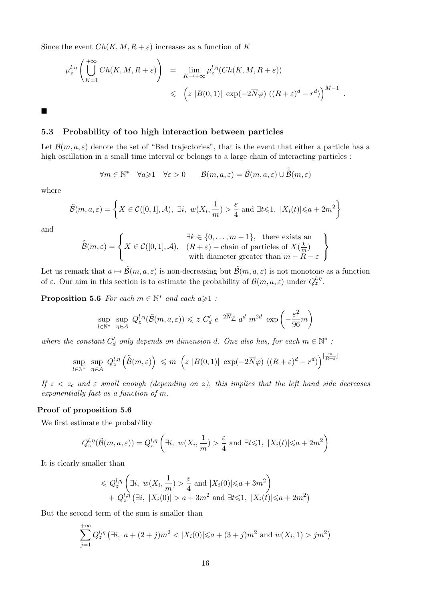Since the event  $Ch(K, M, R + \varepsilon)$  increases as a function of K

$$
\mu_z^{l,\eta} \left( \bigcup_{K=1}^{+\infty} Ch(K,M,R+\varepsilon) \right) = \lim_{K \to +\infty} \mu_z^{l,\eta} (Ch(K,M,R+\varepsilon))
$$
  
\$\leqslant \left( z |B(0,1)| \exp(-2\overline{N}\underline{\varphi}) \left( (R+\varepsilon)^d - r^d \right) \right)^{M-1}\$.

 $\blacksquare$ 

#### 5.3 Probability of too high interaction between particles

Let  $\mathcal{B}(m, a, \varepsilon)$  denote the set of "Bad trajectories", that is the event that either a particle has a high oscillation in a small time interval or belongs to a large chain of interacting particles :

$$
\forall m \in \mathbb{N}^* \quad \forall a \geqslant 1 \quad \forall \varepsilon > 0 \qquad \mathcal{B}(m, a, \varepsilon) = \tilde{\mathcal{B}}(m, a, \varepsilon) \cup \tilde{\tilde{\mathcal{B}}}(m, \varepsilon)
$$

where

$$
\tilde{\mathcal{B}}(m, a, \varepsilon) = \left\{ X \in \mathcal{C}([0, 1], \mathcal{A}), \exists i, w(X_i, \frac{1}{m}) > \frac{\varepsilon}{4} \text{ and } \exists t \leq 1, |X_i(t)| \leq a + 2m^2 \right\}
$$

and

$$
\tilde{\tilde{\mathcal{B}}}(m,\varepsilon) = \left\{ X \in \mathcal{C}([0,1],\mathcal{A}), \begin{array}{c} \exists k \in \{0,\ldots,m-1\}, \text{ there exists an } \\ (R+\varepsilon) - \text{chain of particles of } X(\frac{k}{m}) \\ \text{with diameter greater than } m - R - \varepsilon \end{array} \right\}
$$

Let us remark that  $a \mapsto \tilde{\mathcal{B}}(m, a, \varepsilon)$  is non-decreasing but  $\tilde{\mathcal{B}}(m, a, \varepsilon)$  is not monotone as a function of  $\varepsilon$ . Our aim in this section is to estimate the probability of  $\mathcal{B}(m, a, \varepsilon)$  under  $Q_z^{l, \eta}$ .

**Proposition 5.6** For each  $m \in \mathbb{N}^*$  and each  $a \geq 1$ :

$$
\sup_{l \in \mathbb{N}^*} \sup_{\eta \in \mathcal{A}} Q_z^{l, \eta}(\tilde{\mathcal{B}}(m, a, \varepsilon)) \leq z C'_d e^{-2\overline{N}_{\underline{\varphi}}} a^d m^{2d} \exp\left(-\frac{\varepsilon^2}{96}m\right)
$$

where the constant  $C'_d$  only depends on dimension d. One also has, for each  $m \in \mathbb{N}^*$ :

$$
\sup_{l\in\mathbb{N}^*}\sup_{\eta\in\mathcal{A}}\ Q^{l,\eta}_z\left(\tilde{\tilde{\mathcal{B}}}(m,\varepsilon)\right)\ \leqslant\ m\ \left(z\ |B(0,1)|\ \exp(-2\overline{N}\underline{\varphi})\ \left((R+\varepsilon)^d-r^d\right)\right)^{\left[\frac{m}{R+\varepsilon}\right]}
$$

If  $z < z_c$  and  $\varepsilon$  small enough (depending on z), this implies that the left hand side decreases exponentially fast as a function of m.

#### Proof of proposition 5.6

We first estimate the probability

$$
Q_z^{l,\eta}(\tilde{\mathcal{B}}(m,a,\varepsilon)) = Q_z^{l,\eta} \left(\exists i, w(X_i, \frac{1}{m}) > \frac{\varepsilon}{4} \text{ and } \exists t \leq 1, |X_i(t)| \leq a + 2m^2\right)
$$

It is clearly smaller than

$$
\leq Q_z^{l,\eta} \left( \exists i, \ w(X_i, \frac{1}{m}) > \frac{\varepsilon}{4} \text{ and } |X_i(0)| \leq a + 3m^2 \right) + Q_z^{l,\eta} \left( \exists i, |X_i(0)| > a + 3m^2 \text{ and } \exists t \leq 1, |X_i(t)| \leq a + 2m^2 \right)
$$

But the second term of the sum is smaller than

$$
\sum_{j=1}^{+\infty} Q_z^{l,\eta} \left( \exists i, \ a + (2+j)m^2 < |X_i(0)| \le a + (3+j)m^2 \text{ and } w(X_i, 1) > jm^2 \right)
$$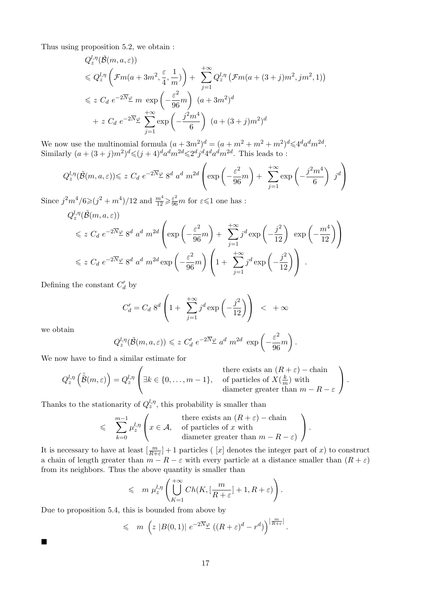Thus using proposition 5.2, we obtain :

$$
Q_z^{l,\eta}(\tilde{\mathcal{B}}(m, a, \varepsilon))
$$
  
\$\leqslant Q\_z^{l,\eta}\left(\mathcal{F}m(a+3m^2, \frac{\varepsilon}{4}, \frac{1}{m})\right) + \sum\_{j=1}^{+\infty} Q\_z^{l,\eta}\left(\mathcal{F}m(a+(3+j)m^2, jm^2, 1)\right)\$}  
\$\leqslant z \ C\_d \ e^{-2\overline{N}\varphi} \ m \ \exp\left(-\frac{\varepsilon^2}{96}m\right) \ (a+3m^2)^d\$  
+ z \ C\_d \ e^{-2\overline{N}\varphi} \ \sum\_{j=1}^{+\infty} \exp\left(-\frac{j^2m^4}{6}\right) \ (a+(3+j)m^2)^d\$

We now use the multinomial formula  $(a+3m^2)^d = (a+m^2+m^2+m^2)^d \leq 4^d a^d m^{2d}$ . Similarly  $(a+(3+j)m^2)^d \leq (j+4)^d a^d m^{2d} \leq 2^d j^d 4^d a^d m^{2d}$ . This leads to:

$$
Q_z^{l,\eta}(\tilde{\mathcal{B}}(m,a,\varepsilon)) \leq z C_d e^{-2\overline{N}} \mathcal{L} \ 8^d \ a^d \ m^{2d} \left( \exp\left(-\frac{\varepsilon^2}{96}m\right) + \sum_{j=1}^{+\infty} \exp\left(-\frac{j^2 m^4}{6}\right) \ j^d \right)
$$

Since  $j^2m^4/6\geqslant(j^2+m^4)/12$  and  $\frac{m^4}{12}\geqslant\frac{\varepsilon^2}{96}m$  for  $\varepsilon\leqslant1$  one has :

$$
Q_z^{l,\eta}(\tilde{\mathcal{B}}(m, a, \varepsilon))
$$
  
\$\leqslant z \ C\_d e^{-2\overline{N}\varphi} 8^d a^d m^{2d} \left( \exp\left(-\frac{\varepsilon^2}{96}m\right) + \sum\_{j=1}^{+\infty} j^d \exp\left(-\frac{j^2}{12}\right) \exp\left(-\frac{m^4}{12}\right) \right)\$  
\$\leqslant z \ C\_d e^{-2\overline{N}\varphi} 8^d a^d m^{2d} \exp\left(-\frac{\varepsilon^2}{96}m\right) \left(1 + \sum\_{j=1}^{+\infty} j^d \exp\left(-\frac{j^2}{12}\right) \right)\$.

Defining the constant  $C_d$  by

$$
C'_d = C_d 8^d \left( 1 + \sum_{j=1}^{+\infty} j^d \exp\left(-\frac{j^2}{12}\right) \right) < +\infty
$$

we obtain

 $\blacksquare$ 

$$
Q_z^{l,\eta}(\tilde{\mathcal{B}}(m, a, \varepsilon)) \leq z C'_d e^{-2\overline{N}\underline{\varphi}} a^d m^{2d} \exp\left(-\frac{\varepsilon^2}{96}m\right).
$$

We now have to find a similar estimate for

$$
Q_z^{l,\eta}(\tilde{\tilde{\mathcal{B}}}(m,\varepsilon)) = Q_z^{l,\eta} \left( \exists k \in \{0,\ldots,m-1\}, \text{ of particles of } X(\frac{k}{m}) \text{ with } \right. \text{diameter greater than } m - R - \varepsilon \right).
$$

Thanks to the stationarity of  $Q_z^{l,\eta}$ , this probability is smaller than

$$
\leqslant \sum_{k=0}^{m-1} \mu_z^{l,\eta} \left( x \in \mathcal{A}, \text{ otherwise for all } 1 \leqslant j \leqslant n \text{ for all } 2 \leqslant j \leqslant m-1 \text{ for all } 2 \leqslant j \leqslant n-2 \text{ for all } 3 \leqslant j \leqslant m-2 \text{ for all } 3 \leqslant j \leqslant m-2 \text{ for all } 4 \leqslant j \leqslant m-2 \text{ for all } 4 \leqslant j \leqslant m-2 \text{ for all } 4 \leqslant j \leqslant m-2 \text{ for all } 4 \leqslant j \leqslant m-2 \text{ for all } 4 \leqslant j \leqslant m-2 \text{ for all } 4 \leqslant j \leqslant m-2 \text{ for all } 4 \leqslant j \leqslant m-2 \text{ for all } 4 \leqslant j \leqslant m-2 \text{ for all } 4 \leqslant j \leqslant m-2 \text{ for all } 4 \leqslant j \leqslant m-2 \text{ for all } 4 \leqslant j \leqslant m-2 \text{ for all } 4 \leqslant j \leqslant m-2 \text{ for all } 4 \leqslant j \leqslant m-2 \text{ for all } 4 \leqslant j \leqslant m-2 \text{ for all } 4 \leqslant j \leqslant m-2 \text{ for all } 4 \leqslant j \leqslant m-2 \text{ for all } 4 \leqslant j \leqslant m-2 \text{ for all } 4 \leqslant j \leqslant m-2 \text{ for all } 4 \leqslant j \leqslant m-2 \text{ for all } 4 \leqslant j \leqslant m-2 \text{ for all } 4 \leqslant j \leqslant m-2 \text{ for all } 4 \leqslant j \leqslant m-2 \text{ for all } 4 \leqslant j \leqslant m-2 \text{ for all } 4 \leqslant j \leqslant m-2 \text{ for all } 4 \leqslant j \leqslant m-2 \text{ for all } 4 \leqslant j \leqslant m-2 \text{ for all } 4 \leqslant j \leqslant m-2 \text{ for all } 4 \leqslant j \leqslant m
$$

It is necessary to have at least  $\left[\frac{m}{R+\varepsilon}\right]+1$  particles ( [x] denotes the integer part of x) to construct a chain of length greater than  $m - R - \varepsilon$  with every particle at a distance smaller than  $(R + \varepsilon)$ from its neighbors. Thus the above quantity is smaller than

$$
\leqslant m \mu_z^{l,\eta} \left( \bigcup_{K=1}^{+\infty} Ch(K, \left[ \frac{m}{R+\varepsilon} \right] + 1, R + \varepsilon) \right).
$$

Due to proposition 5.4, this is bounded from above by

$$
\leqslant m \left( z \left| B(0,1) \right| e^{-2\overline{N}_{\underline{\varphi}}} \left( (R+\varepsilon)^d - r^d \right) \right)^{\left[ \frac{m}{R+\varepsilon} \right]}.
$$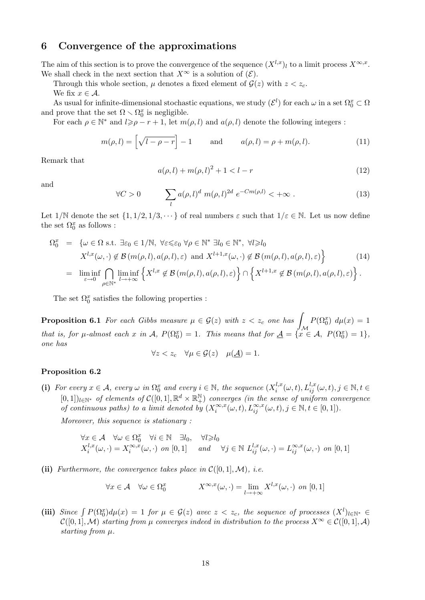## 6 Convergence of the approximations

The aim of this section is to prove the convergence of the sequence  $(X^{l,x})_l$  to a limit process  $X^{\infty,x}$ . We shall check in the next section that  $X^{\infty}$  is a solution of  $(\mathcal{E})$ .

Through this whole section,  $\mu$  denotes a fixed element of  $\mathcal{G}(z)$  with  $z < z_c$ . We fix  $x \in A$ .

As usual for infinite-dimensional stochastic equations, we study  $(\mathcal{E}^l)$  for each  $\omega$  in a set  $\Omega_0^x \subset \Omega$ and prove that the set  $\Omega \setminus \Omega_0^x$  is negligible.

For each  $\rho \in \mathbb{N}^*$  and  $l \geqslant \rho - r + 1$ , let  $m(\rho, l)$  and  $a(\rho, l)$  denote the following integers :

$$
m(\rho, l) = \left[\sqrt{l - \rho - r}\right] - 1 \quad \text{and} \quad a(\rho, l) = \rho + m(\rho, l). \tag{11}
$$

Remark that

$$
a(\rho, l) + m(\rho, l)^2 + 1 < l - r \tag{12}
$$

and

$$
\forall C > 0 \qquad \sum_{l} a(\rho, l)^{d} \ m(\rho, l)^{2d} \ e^{-Cm(\rho, l)} < +\infty \ . \tag{13}
$$

Let  $1/N$  denote the set  $\{1, 1/2, 1/3, \dots\}$  of real numbers  $\varepsilon$  such that  $1/\varepsilon \in \mathbb{N}$ . Let us now define the set  $\Omega_0^x$  as follows :

$$
\Omega_0^x = \{ \omega \in \Omega \text{ s.t. } \exists \varepsilon_0 \in 1/\mathbb{N}, \ \forall \varepsilon \leq \varepsilon_0 \ \forall \rho \in \mathbb{N}^* \ \exists l_0 \in \mathbb{N}^*, \ \forall l \geq l_0
$$
  

$$
X^{l,x}(\omega, \cdot) \notin \mathcal{B}(m(\rho, l), a(\rho, l), \varepsilon) \text{ and } X^{l+1,x}(\omega, \cdot) \notin \mathcal{B}(m(\rho, l), a(\rho, l), \varepsilon) \}
$$
(14)  

$$
= \liminf_{\varepsilon \to 0} \bigcap_{\rho \in \mathbb{N}^*} \liminf_{l \to +\infty} \left\{ X^{l,x} \notin \mathcal{B}(m(\rho, l), a(\rho, l), \varepsilon) \right\} \cap \left\{ X^{l+1,x} \notin \mathcal{B}(m(\rho, l), a(\rho, l), \varepsilon) \right\}.
$$

The set  $\Omega_0^x$  satisfies the following properties :

**Proposition 6.1** For each Gibbs measure  $\mu \in \mathcal{G}(z)$  with  $z < z_c$  one has  $\int P(\Omega_0^x) d\mu(x) = 1$ that is, for  $\mu$ -almost each x in  $\mathcal{A}$ ,  $P(\Omega_0^x) = 1$ . This means that for  $\underline{\mathcal{A}} = \{x \in \mathcal{A}, P(\Omega_0^x) = 1\}$ , one has

$$
\forall z < z_c \quad \forall \mu \in \mathcal{G}(z) \quad \mu(\underline{\mathcal{A}}) = 1.
$$

#### Proposition 6.2

(i) For every  $x \in A$ , every  $\omega$  in  $\Omega_0^x$  and every  $i \in \mathbb{N}$ , the sequence  $(X_i^{l,x})$  $i_{i}^{l,x}(\omega,t)$ ,  $L_{ij}^{l,x}(\omega,t)$ ,  $j \in \mathbb{N}$ ,  $t \in$  $[0,1])_{l\in\mathbb{N}^*}$  of elements of  $\mathcal{C}([0,1], \mathbb{R}^d \times \mathbb{R}^{\mathbb{N}}_+)$  converges (in the sense of uniform convergence of continuous paths) to a limit denoted by  $(X_i^{\infty,x})$  $\sum_{i}^{\infty, x} (\omega, t), L_{ij}^{\infty, x} (\omega, t), j \in \mathbb{N}, t \in [0, 1]).$ 

Moreover, this sequence is stationary :

$$
\forall x \in \mathcal{A} \quad \forall \omega \in \Omega_0^x \quad \forall i \in \mathbb{N} \quad \exists l_0, \quad \forall l \geqslant l_0
$$
\n
$$
X_i^{l,x}(\omega, \cdot) = X_i^{\infty,x}(\omega, \cdot) \quad \text{on } [0,1] \quad \text{and} \quad \forall j \in \mathbb{N} \quad L_{ij}^{l,x}(\omega, \cdot) = L_{ij}^{\infty,x}(\omega, \cdot) \quad \text{on } [0,1]
$$

(ii) Furthermore, the convergence takes place in  $\mathcal{C}([0,1],\mathcal{M})$ , i.e.

$$
\forall x \in \mathcal{A} \quad \forall \omega \in \Omega_0^x \qquad X^{\infty, x}(\omega, \cdot) = \lim_{l \to +\infty} X^{l, x}(\omega, \cdot) \text{ on } [0, 1]
$$

(iii) Since  $\int P(\Omega_0^x) d\mu(x) = 1$  for  $\mu \in \mathcal{G}(z)$  avec  $z < z_c$ , the sequence of processes  $(X^l)_{l \in \mathbb{N}^*} \in$  $\mathcal{C}([0,1],\mathcal{M})$  starting from  $\mu$  converges indeed in distribution to the process  $X^{\infty} \in \mathcal{C}([0,1],\mathcal{A})$ starting from  $\mu$ .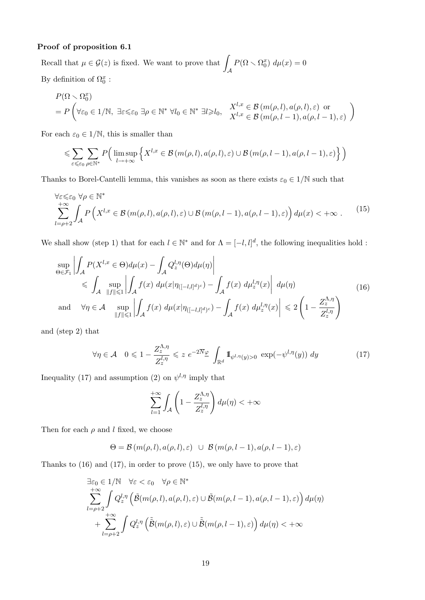#### Proof of proposition 6.1

Recall that  $\mu \in \mathcal{G}(z)$  is fixed. We want to prove that  $\mathcal A$  $P(\Omega \setminus \Omega_0^x) d\mu(x) = 0$ By definition of  $\Omega_0^x$ :

$$
P(\Omega \setminus \Omega_0^x)
$$
  
=  $P\left(\forall \varepsilon_0 \in 1/\mathbb{N}, \exists \varepsilon \leq \varepsilon_0 \exists \rho \in \mathbb{N}^* \forall l_0 \in \mathbb{N}^* \exists l \geq l_0, \frac{X^{l,x} \in \mathcal{B}(m(\rho, l), a(\rho, l), \varepsilon) \text{ or } X^{l,x} \in \mathcal{B}(m(\rho, l-1), a(\rho, l-1), \varepsilon)}{X^{l,x} \in \mathcal{B}(m(\rho, l-1), a(\rho, l-1), \varepsilon)}\right)$ 

For each  $\varepsilon_0 \in 1/N$ , this is smaller than

$$
\leqslant \sum_{\varepsilon \leqslant \varepsilon_0} \sum_{\rho \in \mathbb{N}^*} P\Big( \limsup_{l \to +\infty} \Big\{ X^{l,x} \in \mathcal{B}\big(m(\rho,l), a(\rho,l), \varepsilon\big) \cup \mathcal{B}\big(m(\rho,l-1), a(\rho,l-1), \varepsilon\big) \Big\} \Big)
$$

Thanks to Borel-Cantelli lemma, this vanishes as soon as there exists  $\varepsilon_0 \in 1/\mathbb{N}$  such that

$$
\forall \varepsilon \leq \varepsilon_0 \ \forall \rho \in \mathbb{N}^* \n\sum_{l=\rho+2}^{+\infty} \int_{\mathcal{A}} P\left(X^{l,x} \in \mathcal{B}\left(m(\rho,l), a(\rho,l), \varepsilon\right) \cup \mathcal{B}\left(m(\rho,l-1), a(\rho,l-1), \varepsilon\right)\right) d\mu(x) < +\infty.
$$
\n(15)

We shall show (step 1) that for each  $l \in \mathbb{N}^*$  and for  $\Lambda = [-l, l]^d$ , the following inequalities hold :

$$
\sup_{\Theta \in \mathcal{F}_1} \left| \int_A P(X^{l,x} \in \Theta) d\mu(x) - \int_A Q_z^{l,\eta}(\Theta) d\mu(\eta) \right|
$$
\n
$$
\leqslant \int_A \sup_{\|f\| \leqslant 1} \left| \int_A f(x) d\mu(x) \eta_{\left([-l,l]^d\right)^c} \right| - \int_A f(x) d\mu_z^{l,\eta}(x) \left| d\mu(\eta) \right|
$$
\nand\n
$$
\forall \eta \in \mathcal{A} \sup_{\|f\| \leqslant 1} \left| \int_A f(x) d\mu(x) \eta_{\left([-l,l]^d\right)^c} \right| - \int_A f(x) d\mu_z^{l,\eta}(x) \left| \leqslant 2 \left(1 - \frac{Z_z^{\Lambda,\eta}}{Z_z^{l,\eta}} \right) \right|
$$
\n(16)

and (step 2) that

$$
\forall \eta \in \mathcal{A} \quad 0 \leq 1 - \frac{Z_z^{\Lambda, \eta}}{Z_z^{l, \eta}} \leq z \ e^{-2\overline{N}\varphi} \int_{\mathbb{R}^d} \mathbb{I}_{\psi^{l, \eta}(y) > 0} \exp(-\psi^{l, \eta}(y)) \ dy \tag{17}
$$

Inequality (17) and assumption (2) on  $\psi^{l,\eta}$  imply that

$$
\sum_{l=1}^{+\infty} \int_{\mathcal{A}} \left(1 - \frac{Z_z^{\Lambda,\eta}}{Z_z^{l,\eta}}\right) d\mu(\eta) < +\infty
$$

Then for each  $\rho$  and l fixed, we choose

$$
\Theta = \mathcal{B}(m(\rho, l), a(\rho, l), \varepsilon) \cup \mathcal{B}(m(\rho, l-1), a(\rho, l-1), \varepsilon)
$$

Thanks to (16) and (17), in order to prove (15), we only have to prove that

$$
\exists \varepsilon_0 \in 1/\mathbb{N} \quad \forall \varepsilon < \varepsilon_0 \quad \forall \rho \in \mathbb{N}^* \n\sum_{l=\rho+2}^{+\infty} \int Q_z^{l,\eta} \left( \tilde{\mathcal{B}}(m(\rho,l), a(\rho,l), \varepsilon) \cup \tilde{\mathcal{B}}(m(\rho,l-1), a(\rho,l-1), \varepsilon) \right) d\mu(\eta) \n+ \sum_{l=\rho+2}^{+\infty} \int Q_z^{l,\eta} \left( \tilde{\tilde{\mathcal{B}}}(m(\rho,l), \varepsilon) \cup \tilde{\tilde{\mathcal{B}}}(m(\rho,l-1), \varepsilon) \right) d\mu(\eta) < +\infty
$$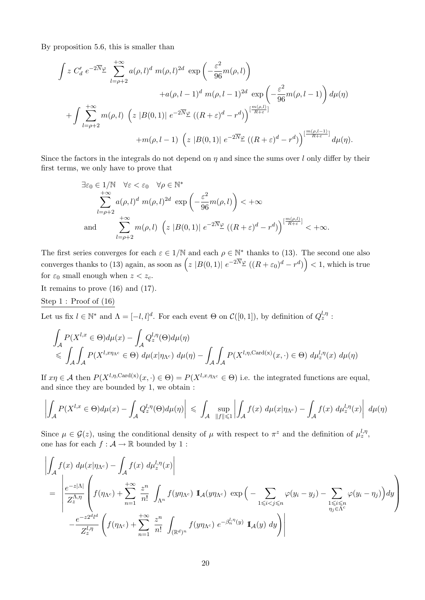By proposition 5.6, this is smaller than

$$
\int z C'_d e^{-2\overline{N}\varphi} \sum_{l=\rho+2}^{+\infty} a(\rho,l)^d m(\rho,l)^{2d} \exp\left(-\frac{\varepsilon^2}{96}m(\rho,l)\right)
$$
  
+ $a(\rho,l-1)^d m(\rho,l-1)^{2d} \exp\left(-\frac{\varepsilon^2}{96}m(\rho,l-1)\right) d\mu(\eta)$   
+ $\int \sum_{l=\rho+2}^{+\infty} m(\rho,l) \left(z |B(0,1)| e^{-2\overline{N}\varphi} ((R+\varepsilon)^d - r^d)\right)^{\left[\frac{m(\rho,l)}{R+\varepsilon}\right]} + m(\rho,l-1) \left(z |B(0,1)| e^{-2\overline{N}\varphi} ((R+\varepsilon)^d - r^d)\right)^{\left[\frac{m(\rho,l-1)}{R+\varepsilon}\right]} d\mu(\eta).$ 

Since the factors in the integrals do not depend on  $\eta$  and since the sums over l only differ by their first terms, we only have to prove that

$$
\exists \varepsilon_0 \in 1/\mathbb{N} \quad \forall \varepsilon < \varepsilon_0 \quad \forall \rho \in \mathbb{N}^* \sum_{l=\rho+2}^{+\infty} a(\rho, l)^d m(\rho, l)^{2d} \exp\left(-\frac{\varepsilon^2}{96} m(\rho, l)\right) < +\infty \n\text{and} \sum_{l=\rho+2}^{+\infty} m(\rho, l) \left(z |B(0, 1)| e^{-2\overline{N}\underline{\varphi}} \left((R+\varepsilon)^d - r^d\right)\right)^{\left[\frac{m(\rho, l)}{R+\varepsilon}\right]} < +\infty.
$$

The first series converges for each  $\varepsilon \in 1/N$  and each  $\rho \in \mathbb{N}^*$  thanks to (13). The second one also converges thanks to (13) again, as soon as  $(z |B(0,1)| e^{-2\overline{N}\varphi} ((R+\varepsilon_0)^d - r^d)$   $<$  1, which is true for  $\varepsilon_0$  small enough when  $z < z_c$ .

It remains to prove (16) and (17).

Step 1 : Proof of (16)

Let us fix  $l \in \mathbb{N}^*$  and  $\Lambda = [-l, l]^d$ . For each event  $\Theta$  on  $\mathcal{C}([0, 1])$ , by definition of  $Q_z^{l, \eta}$ :

$$
\int_{\mathcal{A}} P(X^{l,x} \in \Theta) d\mu(x) - \int_{\mathcal{A}} Q_z^{l,\eta}(\Theta) d\mu(\eta)
$$
\n
$$
\leqslant \int_{\mathcal{A}} \int_{\mathcal{A}} P(X^{l,x \eta_{\Lambda^c}} \in \Theta) d\mu(x|\eta_{\Lambda^c}) d\mu(\eta) - \int_{\mathcal{A}} \int_{\mathcal{A}} P(X^{l,\eta,\text{Card}(x)}(x,\cdot) \in \Theta) d\mu_z^{l,\eta}(x) d\mu(\eta)
$$

If  $x\eta \in \mathcal{A}$  then  $P(X^{l,\eta,\text{Card}(x)}(x,\cdot)\in \Theta) = P(X^{l,x,\eta\Lambda^c} \in \Theta)$  i.e. the integrated functions are equal, and since they are bounded by 1, we obtain :

$$
\left| \int_{\mathcal{A}} P(X^{l,x} \in \Theta) d\mu(x) - \int_{\mathcal{A}} Q_z^{l,\eta}(\Theta) d\mu(\eta) \right| \leq \int_{\mathcal{A}} \sup_{\|f\| \leqslant 1} \left| \int_{\mathcal{A}} f(x) \ d\mu(x|\eta_{\Lambda^c}) - \int_{\mathcal{A}} f(x) \ d\mu_z^{l,\eta}(x) \right| \ d\mu(\eta)
$$

Since  $\mu \in \mathcal{G}(z)$ , using the conditional density of  $\mu$  with respect to  $\pi^z$  and the definition of  $\mu_z^{l,\eta}$ , one has for each  $f : \mathcal{A} \to \mathbb{R}$  bounded by 1 :

$$
\left| \int_{\mathcal{A}} f(x) d\mu(x|\eta_{\Lambda^c}) - \int_{\mathcal{A}} f(x) d\mu_z^{j,\eta}(x) \right|
$$
\n
$$
= \left| \frac{e^{-z|\Lambda|}}{Z_z^{\Lambda,\eta}} \left( f(\eta_{\Lambda^c}) + \sum_{n=1}^{+\infty} \frac{z^n}{n!} \int_{\Lambda^n} f(y\eta_{\Lambda^c}) \mathbb{I}_{\mathcal{A}}(y\eta_{\Lambda^c}) \exp\left( - \sum_{1 \le i < j \le n} \varphi(y_i - y_j) - \sum_{\substack{1 \le i \le n \\ \eta_j \in \Lambda^c}} \varphi(y_i - \eta_j) \right) dy \right| \right\}
$$
\n
$$
- \frac{e^{-z2^{d_l d}}}{Z_z^{l,\eta}} \left( f(\eta_{\Lambda^c}) + \sum_{n=1}^{+\infty} \frac{z^n}{n!} \int_{(\mathbb{R}^d)^n} f(y\eta_{\Lambda^c}) e^{-\beta_n^{l,\eta}(y)} \mathbb{I}_{\mathcal{A}}(y) dy \right) \right|
$$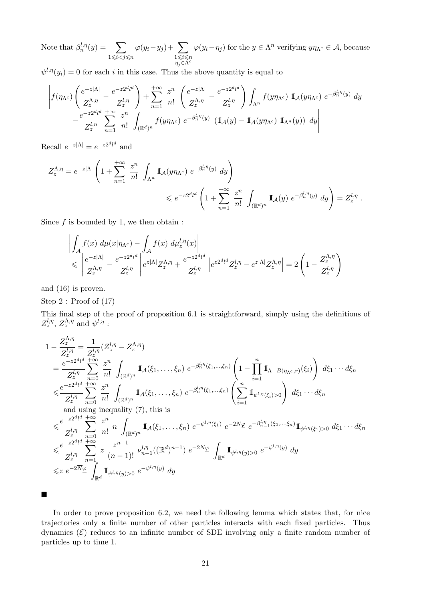Note that  $\beta_n^{l,\eta}(y) = \sum$  $1\leqslant i < j \leqslant n$  $\varphi(y_i-y_j)+\sum$  $1 \leqslant i \leqslant n$  $\eta_j$ E $\tilde{\Lambda}^c$  $\varphi(y_i - \eta_j)$  for the  $y \in \Lambda^n$  verifying  $y\eta_{\Lambda^c} \in \mathcal{A}$ , because

 $\psi^{l,\eta}(y_i) = 0$  for each i in this case. Thus the above quantity is equal to

$$
\left| f(\eta_{\Lambda^c}) \left( \frac{e^{-z|\Lambda|}}{Z_z^{\Lambda, \eta}} - \frac{e^{-z2^d l^d}}{Z_z^{l, \eta}} \right) + \sum_{n=1}^{+\infty} \frac{z^n}{n!} \left( \frac{e^{-z|\Lambda|}}{Z_z^{\Lambda, \eta}} - \frac{e^{-z2^d l^d}}{Z_z^{l, \eta}} \right) \int_{\Lambda^n} f(y\eta_{\Lambda^c}) \mathbb{1}_{\mathcal{A}}(y\eta_{\Lambda^c}) e^{-\beta_n^{l, \eta}(y)} dy - \frac{e^{-z2^d l^d}}{Z_z^{l, \eta}} \sum_{n=1}^{+\infty} \frac{z^n}{n!} \int_{(\mathbb{R}^d)^n} f(y\eta_{\Lambda^c}) e^{-\beta_n^{l, \eta}(y)} (\mathbb{1}_{\mathcal{A}}(y) - \mathbb{1}_{\mathcal{A}}(y\eta_{\Lambda^c}) \mathbb{1}_{\Lambda^n}(y)) dy \right|
$$

Recall  $e^{-z|\Lambda|} = e^{-z2^d l^d}$  and

$$
Z_{z}^{\Lambda,\eta} = e^{-z|\Lambda|} \left( 1 + \sum_{n=1}^{+\infty} \frac{z^{n}}{n!} \int_{\Lambda^{n}} \mathbb{I}_{\mathcal{A}}(y\eta_{\Lambda^{c}}) e^{-\beta_{n}^{l,\eta}(y)} dy \right) \le e^{-z2^{d}l^{d}} \left( 1 + \sum_{n=1}^{+\infty} \frac{z^{n}}{n!} \int_{(\mathbb{R}^{d})^{n}} \mathbb{I}_{\mathcal{A}}(y) e^{-\beta_{n}^{l,\eta}(y)} dy \right) = Z_{z}^{l,\eta} .
$$

Since  $f$  is bounded by 1, we then obtain :

$$
\left| \int_{\mathcal{A}} f(x) d\mu(x|\eta_{\Lambda^c}) - \int_{\mathcal{A}} f(x) d\mu_z^{1,\eta}(x) \right|
$$
  
\n
$$
\leq \left| \frac{e^{-z|\Lambda|}}{Z_z^{\Lambda,\eta}} - \frac{e^{-z2^{d_l d}}}{Z_z^{1,\eta}} \right| e^{z|\Lambda|} Z_z^{\Lambda,\eta} + \frac{e^{-z2^{d_l d}}}{Z_z^{1,\eta}} \left| e^{z2^{d_l d}} Z_z^{1,\eta} - e^{z|\Lambda|} Z_z^{\Lambda,\eta} \right| = 2 \left( 1 - \frac{Z_z^{\Lambda,\eta}}{Z_z^{1,\eta}} \right)
$$

and (16) is proven.

#### Step 2 : Proof of (17)

This final step of the proof of proposition 6.1 is straightforward, simply using the definitions of  $Z_z^{l,\eta}$ ,  $Z_z^{\Lambda,\eta}$  and  $\psi^{l,\eta}$  :

$$
1 - \frac{Z_2^{A,\eta}}{Z_z^{l,\eta}} = \frac{1}{Z_z^{l,\eta}} (Z_z^{l,\eta} - Z_z^{A,\eta})
$$
  
\n
$$
= \frac{e^{-z2^{d}l^{d}} + \infty}{Z_z^{l,\eta}} \sum_{n=0}^{z^{n}} \frac{z^{n}}{n!} \int_{(\mathbb{R}^{d})^n} \mathbb{I}_{A}(\xi_1, \dots, \xi_n) e^{-\beta_n^{l,\eta}(\xi_1, \dots, \xi_n)} \left(1 - \prod_{i=1}^{n} \mathbb{I}_{\Lambda - B(\eta_{\Lambda^c}, r)}(\xi_i)\right) d\xi_1 \cdots d\xi_n
$$
  
\n
$$
\leq \frac{e^{-z2^{d}l^{d}}}{Z_z^{l,\eta}} \sum_{n=0}^{z^{n}} \frac{z^{n}}{n!} \int_{(\mathbb{R}^{d})^n} \mathbb{I}_{A}(\xi_1, \dots, \xi_n) e^{-\beta_n^{l,\eta}(\xi_1, \dots, \xi_n)} \left(\sum_{i=1}^{n} \mathbb{I}_{\psi^{l,\eta}(\xi_i) > 0}\right) d\xi_1 \cdots d\xi_n
$$
  
\nand using inequality (7), this is  
\n
$$
\leq \frac{e^{-z2^{d}l^{d}}}{Z_z^{l,\eta}} \sum_{n=0}^{z^{n}} \frac{z^{n}}{n!} n \int_{(\mathbb{R}^{d})^n} \mathbb{I}_{A}(\xi_1, \dots, \xi_n) e^{-\psi^{l,\eta}(\xi_1)} e^{-2\overline{N}\varphi} e^{-\beta_{n-1}^{l,\eta}(\xi_2, \dots, \xi_n)} \mathbb{I}_{\psi^{l,\eta}(\xi_1) > 0} d\xi_1 \cdots d\xi_n
$$
  
\n
$$
\leq \frac{e^{-z2^{d}l^{d}}}{Z_z^{l,\eta}} \sum_{n=1}^{z^{n}} z \frac{z^{n-1}}{(n-1)!} \nu_{n-1}^{l,\eta}((\mathbb{R}^{d})^{n-1}) e^{-2\overline{N}\varphi} \int_{\mathbb{R}^{d}} \mathbb{I}_{\psi^{l,\eta}(y) > 0} e^{-\psi^{l,\eta}(y)} dy
$$
  
\n
$$
\leq z e^{-2\overline{N}\varphi} \int_{
$$

 $\blacksquare$ 

In order to prove proposition 6.2, we need the following lemma which states that, for nice trajectories only a finite number of other particles interacts with each fixed particles. Thus dynamics  $(\mathcal{E})$  reduces to an infinite number of SDE involving only a finite random number of particles up to time 1.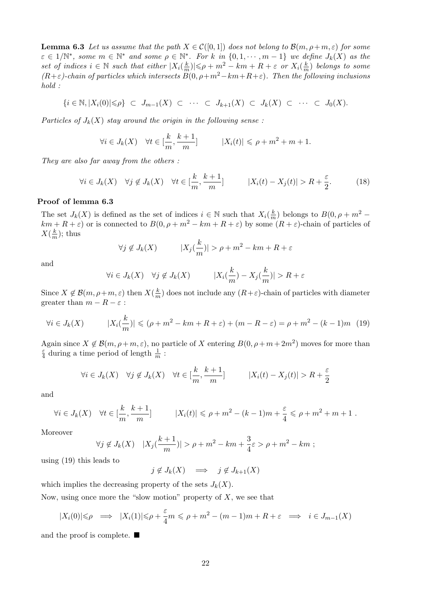**Lemma 6.3** Let us assume that the path  $X \in \mathcal{C}([0,1])$  does not belong to  $\mathcal{B}(m,\rho+m,\varepsilon)$  for some  $\varepsilon \in 1/\mathbb{N}^*$ , some  $m \in \mathbb{N}^*$  and some  $\rho \in \mathbb{N}^*$ . For k in  $\{0, 1, \cdots, m-1\}$  we define  $J_k(X)$  as the set of indices  $i \in \mathbb{N}$  such that either  $|X_i(\frac{k}{n})|$  $\frac{k}{m}$ )| $\leqslant \rho + m^2 - km + R + \varepsilon$  or  $X_i(\frac{k}{m})$  $\frac{k}{m}$ ) belongs to some  $(R+\varepsilon)$ -chain of particles which intersects  $\ddot{B}(0, \rho+m^2-km+R+\varepsilon)$ . Then the following inclusions hold :

$$
\{i \in \mathbb{N}, |X_i(0)| \leqslant \rho\} \subset J_{m-1}(X) \subset \cdots \subset J_{k+1}(X) \subset J_k(X) \subset \cdots \subset J_0(X).
$$

Particles of  $J_k(X)$  stay around the origin in the following sense:

$$
\forall i \in J_k(X) \quad \forall t \in [\frac{k}{m}, \frac{k+1}{m}] \qquad |X_i(t)| \leq \rho + m^2 + m + 1.
$$

They are also far away from the others :

$$
\forall i \in J_k(X) \quad \forall j \notin J_k(X) \quad \forall t \in [\frac{k}{m}, \frac{k+1}{m}] \qquad |X_i(t) - X_j(t)| > R + \frac{\varepsilon}{2}.
$$
 (18)

#### Proof of lemma 6.3

The set  $J_k(X)$  is defined as the set of indices  $i \in \mathbb{N}$  such that  $X_i(\frac{k}{n})$  $\frac{k}{m}$ ) belongs to  $B(0, \rho + m^2$  $km + R + \varepsilon$  or is connected to  $B(0, \rho + m^2 - km + R + \varepsilon)$  by some  $(R + \varepsilon)$ -chain of particles of  $X(\frac{k}{n})$  $\frac{k}{m}$ ); thus

$$
\forall j \notin J_k(X) \qquad |X_j(\frac{k}{m})| > \rho + m^2 - km + R + \varepsilon
$$

and

$$
\forall i \in J_k(X) \quad \forall j \notin J_k(X) \qquad |X_i(\frac{k}{m}) - X_j(\frac{k}{m})| > R + \varepsilon
$$

Since  $X \notin \mathcal{B}(m, \rho+m, \varepsilon)$  then  $X(\frac{k}{n})$  $\frac{k}{m}$ ) does not include any  $(R+\varepsilon)$ -chain of particles with diameter greater than  $m - R - \varepsilon$ :

$$
\forall i \in J_k(X) \qquad |X_i(\frac{k}{m})| \leqslant (\rho + m^2 - km + R + \varepsilon) + (m - R - \varepsilon) = \rho + m^2 - (k - 1)m \tag{19}
$$

Again since  $X \notin \mathcal{B}(m, \rho+m, \varepsilon)$ , no particle of X entering  $B(0, \rho+m+2m^2)$  moves for more than ε  $\frac{\varepsilon}{4}$  during a time period of length  $\frac{1}{m}$ :

$$
\forall i \in J_k(X) \quad \forall j \notin J_k(X) \quad \forall t \in [\frac{k}{m}, \frac{k+1}{m}] \qquad |X_i(t) - X_j(t)| > R + \frac{\varepsilon}{2}
$$

and

$$
\forall i \in J_k(X) \quad \forall t \in [\frac{k}{m}, \frac{k+1}{m}] \qquad |X_i(t)| \leq \rho + m^2 - (k-1)m + \frac{\varepsilon}{4} \leq \rho + m^2 + m + 1 \; .
$$

Moreover

$$
\forall j \notin J_k(X) \quad |X_j(\frac{k+1}{m})| > \rho + m^2 - km + \frac{3}{4}\varepsilon > \rho + m^2 - km ;
$$

using (19) this leads to

 $j \notin J_k(X) \implies j \notin J_{k+1}(X)$ 

which implies the decreasing property of the sets  $J_k(X)$ .

Now, using once more the "slow motion" property of  $X$ , we see that

$$
|X_i(0)| \le \rho \implies |X_i(1)| \le \rho + \frac{\varepsilon}{4} m \le \rho + m^2 - (m-1)m + R + \varepsilon \implies i \in J_{m-1}(X)
$$

and the proof is complete.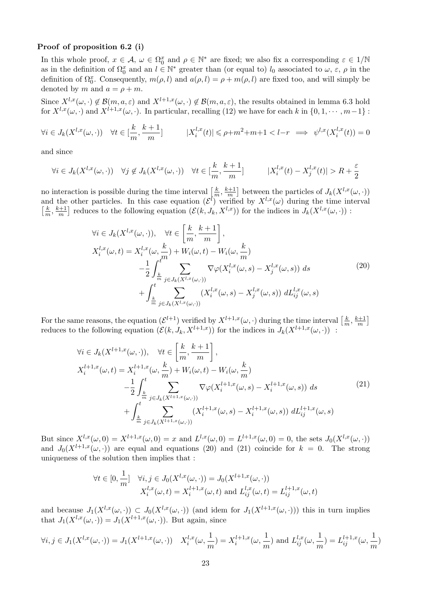#### Proof of proposition 6.2 (i)

In this whole proof,  $x \in \mathcal{A}$ ,  $\omega \in \Omega_0^x$  and  $\rho \in \mathbb{N}^*$  are fixed; we also fix a corresponding  $\varepsilon \in 1/\mathbb{N}$ as in the definition of  $\Omega_0^x$  and an  $l \in \mathbb{N}^*$  greater than (or equal to)  $l_0$  associated to  $\omega$ ,  $\varepsilon$ ,  $\rho$  in the definition of  $\Omega_0^x$ . Consequently,  $m(\rho, l)$  and  $a(\rho, l) = \rho + m(\rho, l)$  are fixed too, and will simply be denoted by m and  $a = \rho + m$ .

Since  $X^{l,x}(\omega, \cdot) \notin \mathcal{B}(m, a, \varepsilon)$  and  $X^{l+1,x}(\omega, \cdot) \notin \mathcal{B}(m, a, \varepsilon)$ , the results obtained in lemma 6.3 hold for  $X^{l,x}(\omega, \cdot)$  and  $X^{l+1,x}(\omega, \cdot)$ . In particular, recalling (12) we have for each k in  $\{0, 1, \cdots, m-1\}$ :

$$
\forall i \in J_k(X^{l,x}(\omega,\cdot)) \quad \forall t \in [\frac{k}{m}, \frac{k+1}{m}] \qquad |X_i^{l,x}(t)| \leq \rho + m^2 + m + 1 < l - r \implies \psi^{l,x}(X_i^{l,x}(t)) = 0
$$

and since

$$
\forall i \in J_k(X^{l,x}(\omega,\cdot)) \quad \forall j \notin J_k(X^{l,x}(\omega,\cdot)) \quad \forall t \in [\frac{k}{m}, \frac{k+1}{m}] \qquad |X_i^{l,x}(t) - X_j^{l,x}(t)| > R + \frac{\varepsilon}{2}
$$

no interaction is possible during the time interval  $\left[\frac{k}{m}\right]$  $\frac{k}{m}$ ,  $\frac{k+1}{m}$  $\frac{n+1}{m}$  between the particles of  $J_k(X^{l,x}(\omega, \cdot))$ and the other particles. In this case equation  $(\mathcal{E}^{l})$  verified by  $X^{l,x}(\omega)$  during the time interval  $\frac{k}{\sqrt{2}}$  $\frac{k}{m}$ ,  $\frac{k+1}{m}$  $\left[\frac{m+1}{m}\right]$  reduces to the following equation  $(\mathcal{E}(k, J_k, X^{l,x}))$  for the indices in  $J_k(X^{l,x}(\omega, \cdot))$ :

$$
\forall i \in J_k(X^{l,x}(\omega,\cdot)), \quad \forall t \in \left[\frac{k}{m}, \frac{k+1}{m}\right],
$$
  
\n
$$
X_i^{l,x}(\omega,t) = X_i^{l,x}(\omega,\frac{k}{m}) + W_i(\omega,t) - W_i(\omega,\frac{k}{m})
$$
  
\n
$$
-\frac{1}{2} \int_{\frac{k}{m}}^t \sum_{j \in J_k(X^{l,x}(\omega,\cdot))} \nabla \varphi(X_i^{l,x}(\omega,s) - X_j^{l,x}(\omega,s)) ds
$$
\n
$$
+ \int_{\frac{k}{m}}^t \sum_{j \in J_k(X^{l,x}(\omega,\cdot))} (X_i^{l,x}(\omega,s) - X_j^{l,x}(\omega,s)) dL_{ij}^{l,x}(\omega,s)
$$
\n(20)

For the same reasons, the equation  $(\mathcal{E}^{l+1})$  verified by  $X^{l+1,x}(\omega, \cdot)$  during the time interval  $\left[\frac{k}{n}\right]$  $\frac{k}{m}$ ,  $\frac{k+1}{m}$  $\frac{n+1}{m}$ reduces to the following equation  $(\mathcal{E}(k, J_k, X^{l+1,x}))$  for the indices in  $J_k(X^{l+1,x}(\omega, \cdot))$ :

$$
\forall i \in J_k(X^{l+1,x}(\omega,\cdot)), \quad \forall t \in \left[\frac{k}{m}, \frac{k+1}{m}\right],
$$
  
\n
$$
X_i^{l+1,x}(\omega,t) = X_i^{l+1,x}(\omega,\frac{k}{m}) + W_i(\omega,t) - W_i(\omega,\frac{k}{m})
$$
  
\n
$$
-\frac{1}{2} \int_{\frac{k}{m}}^t \sum_{j \in J_k(X^{l+1,x}(\omega,\cdot))} \nabla \varphi(X_i^{l+1,x}(\omega,s) - X_i^{l+1,x}(\omega,s)) ds
$$
\n
$$
+ \int_{\frac{k}{m}}^t \sum_{j \in J_k(X^{l+1,x}(\omega,\cdot))} (X_i^{l+1,x}(\omega,s) - X_i^{l+1,x}(\omega,s)) dL_{ij}^{l+1,x}(\omega,s)
$$
\n(21)

But since  $X^{l,x}(\omega,0) = X^{l+1,x}(\omega,0) = x$  and  $L^{l,x}(\omega,0) = L^{l+1,x}(\omega,0) = 0$ , the sets  $J_0(X^{l,x}(\omega, \cdot))$ and  $J_0(X^{l+1,x}(\omega, \cdot))$  are equal and equations (20) and (21) coincide for  $k = 0$ . The strong uniqueness of the solution then implies that :

$$
\forall t \in [0, \frac{1}{m}] \quad \forall i, j \in J_0(X^{l,x}(\omega, \cdot)) = J_0(X^{l+1,x}(\omega, \cdot))
$$

$$
X_i^{l,x}(\omega, t) = X_i^{l+1,x}(\omega, t) \text{ and } L_{ij}^{l,x}(\omega, t) = L_{ij}^{l+1,x}(\omega, t)
$$

and because  $J_1(X^{l,x}(\omega, \cdot)) \subset J_0(X^{l,x}(\omega, \cdot))$  (and idem for  $J_1(X^{l+1,x}(\omega, \cdot))$ ) this in turn implies that  $J_1(X^{l,x}(\omega, \cdot)) = J_1(X^{l+1,x}(\omega, \cdot)).$  But again, since

$$
\forall i, j \in J_1(X^{l,x}(\omega, \cdot)) = J_1(X^{l+1,x}(\omega, \cdot)) \quad X_i^{l,x}(\omega, \frac{1}{m}) = X_i^{l+1,x}(\omega, \frac{1}{m}) \text{ and } L_{ij}^{l,x}(\omega, \frac{1}{m}) = L_{ij}^{l+1,x}(\omega, \frac{1}{m})
$$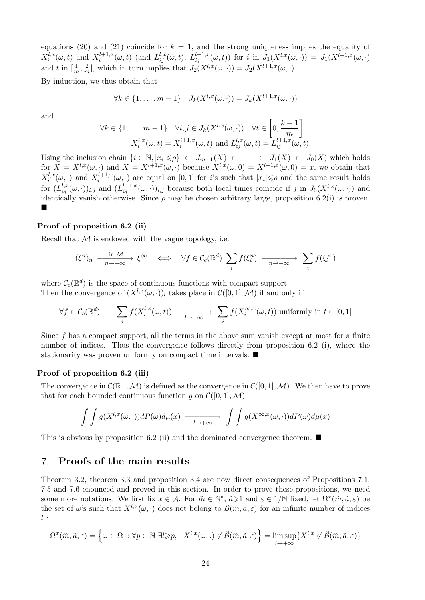equations (20) and (21) coincide for  $k = 1$ , and the strong uniqueness implies the equality of  $X_i^{l,x}$  $i_i^{l,x}(\omega, t)$  and  $X_i^{l+1,x}$  $i^{l+1,x}_{i}(\omega, t)$  (and  $L^{l,x}_{ij}(\omega, t)$ ,  $L^{l+1,x}_{ij}(\omega, t)$ ) for i in  $J_1(X^{l,x}(\omega, \cdot)) = J_1(X^{l+1,x}(\omega, \cdot))$ and t in  $\left[\frac{1}{m},\frac{2}{m}\right]$  $\frac{2}{m}$ , which in turn implies that  $J_2(X^{l,x}(\omega, \cdot)) = J_2(X^{l+1,x}(\omega, \cdot)).$ 

By induction, we thus obtain that

$$
\forall k \in \{1, \ldots, m-1\} \quad J_k(X^{l,x}(\omega, \cdot)) = J_k(X^{l+1,x}(\omega, \cdot))
$$

and

$$
\forall k \in \{1, \dots, m-1\} \quad \forall i, j \in J_k(X^{l,x}(\omega, \cdot)) \quad \forall t \in \left[0, \frac{k+1}{m}\right]
$$

$$
X_i^{l,x}(\omega, t) = X_i^{l+1,x}(\omega, t) \text{ and } L_{ij}^{l,x}(\omega, t) = L_{ij}^{l+1,x}(\omega, t).
$$

Using the inclusion chain  $\{i \in \mathbb{N}, |x_i| \leqslant \rho\} \subset J_{m-1}(X) \subset \cdots \subset J_1(X) \subset J_0(X)$  which holds for  $X = X^{l,x}(\omega, \cdot)$  and  $X = X^{l+1,x}(\omega, \cdot)$  because  $X^{l,x}(\omega, 0) = X^{l+1,x}(\omega, 0) = x$ , we obtain that  $X_i^{l,x}$  $i^{l,x}(\omega, \cdot)$  and  $X_i^{l+1,x}$  $\sum_{i}^{l+1,x}(\omega, \cdot)$  are equal on [0, 1] for *i*'s such that  $|x_i| \leqslant \rho$  and the same result holds for  $(L_{ij}^{l,x}(\omega,\cdot))_{i,j}$  and  $(L_{ij}^{l+1,x}(\omega,\cdot))_{i,j}$  because both local times coincide if j in  $J_0(X^{l,x}(\omega,\cdot))$  and identically vanish otherwise. Since  $\rho$  may be chosen arbitrary large, proposition 6.2(i) is proven.  $\blacksquare$ 

#### Proof of proposition 6.2 (ii)

Recall that  $M$  is endowed with the vague topology, i.e.

$$
(\xi^n)_n \xrightarrow[n \to +\infty]{\text{in } \mathcal{M}} \xi^\infty \iff \forall f \in \mathcal{C}_c(\mathbb{R}^d) \sum_i f(\xi_i^n) \xrightarrow[n \to +\infty]{\text{in } \mathcal{M}} \sum_i f(\xi_i^\infty)
$$

where  $C_c(\mathbb{R}^d)$  is the space of continuous functions with compact support.

Then the convergence of  $(X^{l,x}(\omega, \cdot))_l$  takes place in  $\mathcal{C}([0, 1], \mathcal{M})$  if and only if

$$
\forall f \in \mathcal{C}_c(\mathbb{R}^d) \qquad \sum_i f(X_i^{l,x}(\omega, t)) \longrightarrow \sum_{l \to +\infty} f(X_i^{\infty, x}(\omega, t)) \text{ uniformly in } t \in [0, 1]
$$

Since f has a compact support, all the terms in the above sum vanish except at most for a finite number of indices. Thus the convergence follows directly from proposition 6.2 (i), where the stationarity was proven uniformly on compact time intervals.  $\blacksquare$ 

#### Proof of proposition 6.2 (iii)

The convergence in  $\mathcal{C}(\mathbb{R}^+, \mathcal{M})$  is defined as the convergence in  $\mathcal{C}([0, 1], \mathcal{M})$ . We then have to prove that for each bounded continuous function g on  $\mathcal{C}([0,1],\mathcal{M})$ 

$$
\int \int g(X^{l,x}(\omega,\cdot))dP(\omega)d\mu(x) \longrightarrow \longrightarrow \int \int g(X^{\infty,x}(\omega,\cdot))dP(\omega)d\mu(x)
$$

This is obvious by proposition 6.2 (ii) and the dominated convergence theorem.  $\blacksquare$ 

## 7 Proofs of the main results

Theorem 3.2, theorem 3.3 and proposition 3.4 are now direct consequences of Propositions 7.1, 7.5 and 7.6 enounced and proved in this section. In order to prove these propositions, we need some more notations. We first fix  $x \in \mathcal{A}$ . For  $\tilde{m} \in \mathbb{N}^*$ ,  $\tilde{a} \geq 1$  and  $\varepsilon \in 1/\mathbb{N}$  fixed, let  $\Omega^x(\tilde{m}, \tilde{a}, \varepsilon)$  be the set of  $\omega$ 's such that  $X^{l,x}(\omega, \cdot)$  does not belong to  $\tilde{\mathcal{B}}(\tilde{m}, \tilde{a}, \varepsilon)$  for an infinite number of indices  $l$ :

$$
\Omega^x(\tilde{m}, \tilde{a}, \varepsilon) = \left\{ \omega \in \Omega \; : \forall p \in \mathbb{N} \; \exists l \geqslant p, \; X^{l,x}(\omega,.) \notin \tilde{\mathcal{B}}(\tilde{m}, \tilde{a}, \varepsilon) \right\} = \limsup_{l \to +\infty} \{ X^{l,x} \notin \tilde{\mathcal{B}}(\tilde{m}, \tilde{a}, \varepsilon) \}
$$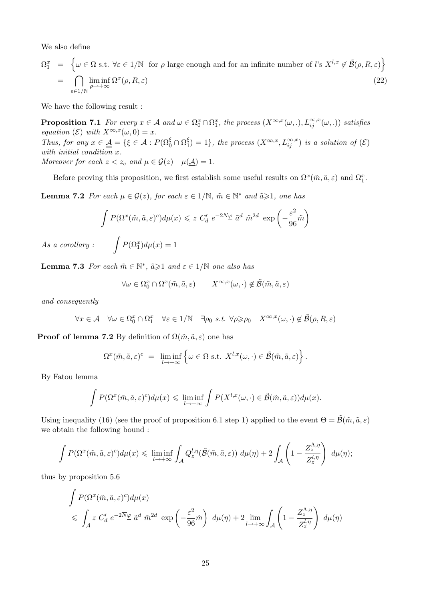We also define

$$
\Omega_1^x = \left\{ \omega \in \Omega \text{ s.t. } \forall \varepsilon \in 1/\mathbb{N} \text{ for } \rho \text{ large enough and for an infinite number of } l \text{'s } X^{l,x} \notin \tilde{\mathcal{B}}(\rho, R, \varepsilon) \right\}
$$

$$
= \bigcap_{\varepsilon \in 1/\mathbb{N}} \liminf_{\rho \to +\infty} \Omega^x(\rho, R, \varepsilon) \tag{22}
$$

We have the following result :

**Proposition 7.1** For every  $x \in A$  and  $\omega \in \Omega_0^x \cap \Omega_1^x$ , the process  $(X^{\infty,x}(\omega,.), L_{ij}^{\infty,x}(\omega,.))$  satisfies equation ( $\mathcal{E}$ ) with  $X^{\infty,x}(\omega,0) = x$ . Thus, for any  $x \in \underline{\underline{A}} = \{ \xi \in \mathcal{A} : P(\Omega_0^{\xi} \cap \Omega_1^{\xi}) \}$  $\binom{\xi}{1} = 1$ , the process  $(X^{\infty,x}, L_{ij}^{\infty,x})$  is a solution of  $(\mathcal{E})$ with initial condition x. Moreover for each  $z < z_c$  and  $\mu \in \mathcal{G}(z)$   $\mu(\underline{\mathcal{A}}) = 1$ .

Before proving this proposition, we first establish some useful results on  $\Omega^x(\tilde{m}, \tilde{a}, \varepsilon)$  and  $\Omega_1^x$ .

**Lemma 7.2** For each  $\mu \in \mathcal{G}(z)$ , for each  $\varepsilon \in 1/\mathbb{N}$ ,  $\tilde{m} \in \mathbb{N}^*$  and  $\tilde{a} \geq 1$ , one has

$$
\int P(\Omega^x(\tilde{m}, \tilde{a}, \varepsilon)^c) d\mu(x) \leq z C'_d e^{-2\overline{N}\varphi} \tilde{a}^d \tilde{m}^{2d} \exp\left(-\frac{\varepsilon^2}{96}\tilde{m}\right)
$$

$$
\int P(\Omega_1^x) d\mu(x) = 1
$$

 $As\ a\ corollary:$ 

**Lemma 7.3** For each  $\tilde{m} \in \mathbb{N}^*$ ,  $\tilde{a} \geq 1$  and  $\varepsilon \in 1/\mathbb{N}$  one also has

$$
\forall \omega \in \Omega_0^x \cap \Omega^x(\tilde{m}, \tilde{a}, \varepsilon) \qquad X^{\infty, x}(\omega, \cdot) \notin \tilde{\mathcal{B}}(\tilde{m}, \tilde{a}, \varepsilon)
$$

and consequently

$$
\forall x \in \mathcal{A} \quad \forall \omega \in \Omega_0^x \cap \Omega_1^x \quad \forall \varepsilon \in 1/\mathbb{N} \quad \exists \rho_0 \ s.t. \ \forall \rho \geqslant \rho_0 \quad X^{\infty, x}(\omega, \cdot) \notin \tilde{\mathcal{B}}(\rho, R, \varepsilon)
$$

**Proof of lemma 7.2** By definition of  $\Omega(\tilde{m}, \tilde{a}, \varepsilon)$  one has

$$
\Omega^x(\tilde{m}, \tilde{a}, \varepsilon)^c = \liminf_{l \to +\infty} \left\{ \omega \in \Omega \text{ s.t. } X^{l,x}(\omega, \cdot) \in \tilde{\mathcal{B}}(\tilde{m}, \tilde{a}, \varepsilon) \right\}.
$$

By Fatou lemma

$$
\int P(\Omega^x(\tilde{m}, \tilde{a}, \varepsilon)^c) d\mu(x) \leq \liminf_{l \to +\infty} \int P(X^{l,x}(\omega, \cdot) \in \tilde{\mathcal{B}}(\tilde{m}, \tilde{a}, \varepsilon)) d\mu(x).
$$

Using inequality (16) (see the proof of proposition 6.1 step 1) applied to the event  $\Theta = \tilde{\mathcal{B}}(\tilde{m}, \tilde{a}, \varepsilon)$ we obtain the following bound :

$$
\int P(\Omega^x(\tilde{m}, \tilde{a}, \varepsilon)^c) d\mu(x) \leq \liminf_{l \to +\infty} \int_{\mathcal{A}} Q_z^{l, \eta}(\tilde{\mathcal{B}}(\tilde{m}, \tilde{a}, \varepsilon)) d\mu(\eta) + 2 \int_{\mathcal{A}} \left(1 - \frac{Z_z^{\Lambda, \eta}}{Z_z^{l, \eta}}\right) d\mu(\eta);
$$

thus by proposition 5.6

$$
\int P(\Omega^x(\tilde{m}, \tilde{a}, \varepsilon)^c) d\mu(x)
$$
\n
$$
\leqslant \int_{\mathcal{A}} z C'_d e^{-2\overline{N}} \varrho \tilde{a}^d \tilde{m}^{2d} \exp\left(-\frac{\varepsilon^2}{96}\tilde{m}\right) d\mu(\eta) + 2 \lim_{l \to +\infty} \int_{\mathcal{A}} \left(1 - \frac{Z_2^{\Lambda, \eta}}{Z_z^{l, \eta}}\right) d\mu(\eta)
$$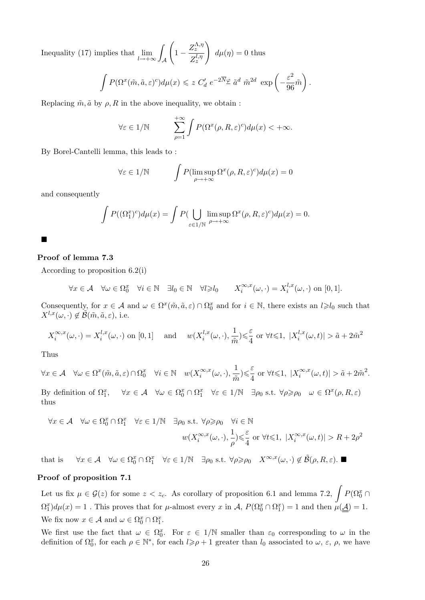Inequality (17) implies that  $\lim_{l \to +\infty}$ Z  $\mathcal A$  $\sqrt{ }$  $1-\frac{Z_{z}^{\Lambda,\eta}}{I_{n}}$  $Z_{z}^{l,\eta}$  $\setminus$  $d\mu(\eta) = 0$  thus

$$
\int P(\Omega^x(\tilde{m}, \tilde{a}, \varepsilon)^c) d\mu(x) \leqslant z C'_d e^{-2\overline{N}} \varrho \tilde{a}^d \tilde{m}^{2d} \exp\left(-\frac{\varepsilon^2}{96} \tilde{m}\right).
$$

Replacing  $\tilde{m}, \tilde{a}$  by  $\rho, R$  in the above inequality, we obtain :

$$
\forall \varepsilon \in 1/\mathbb{N} \qquad \sum_{\rho=1}^{+\infty} \int P(\Omega^x(\rho, R, \varepsilon)^c) d\mu(x) < +\infty.
$$

By Borel-Cantelli lemma, this leads to :

$$
\forall \varepsilon \in 1/\mathbb{N} \qquad \int P(\limsup_{\rho \to +\infty} \Omega^x(\rho, R, \varepsilon)^c) d\mu(x) = 0
$$

and consequently

$$
\int P((\Omega_1^x)^c) d\mu(x) = \int P(\bigcup_{\varepsilon \in 1/\mathbb{N}} \limsup_{\rho \to +\infty} \Omega^x(\rho, R, \varepsilon)^c) d\mu(x) = 0.
$$

# $\blacksquare$

#### Proof of lemma 7.3

According to proposition 6.2(i)

$$
\forall x \in \mathcal{A} \quad \forall \omega \in \Omega_0^x \quad \forall i \in \mathbb{N} \quad \exists l_0 \in \mathbb{N} \quad \forall l \geqslant l_0 \qquad X_i^{\infty, x}(\omega, \cdot) = X_i^{l, x}(\omega, \cdot) \text{ on } [0, 1].
$$

Consequently, for  $x \in A$  and  $\omega \in \Omega^x(\tilde{m}, \tilde{a}, \varepsilon) \cap \Omega_0^x$  and for  $i \in \mathbb{N}$ , there exists an  $l \geq l_0$  such that  $X^{l,x}(\omega, \cdot) \notin \tilde{\mathcal{B}}(\tilde{m}, \tilde{a}, \varepsilon)$ , i.e.

$$
X_i^{\infty,x}(\omega,\cdot) = X_i^{l,x}(\omega,\cdot) \text{ on } [0,1] \quad \text{ and } \quad w(X_i^{l,x}(\omega,\cdot),\frac{1}{\tilde{m}}) \leq \frac{\varepsilon}{4} \text{ or } \forall t \leq 1, \ |X_i^{l,x}(\omega,t)| > \tilde{a} + 2\tilde{m}^2
$$

Thus

$$
\forall x \in \mathcal{A} \quad \forall \omega \in \Omega^x(\tilde{m}, \tilde{a}, \varepsilon) \cap \Omega_0^x \quad \forall i \in \mathbb{N} \quad w(X_i^{\infty, x}(\omega, \cdot), \frac{1}{\tilde{m}}) \leq \frac{\varepsilon}{4} \text{ or } \forall t \leq 1, \ |X_i^{\infty, x}(\omega, t)| > \tilde{a} + 2\tilde{m}^2.
$$
  
By definition of  $\Omega_1^x$ ,  $\forall x \in \mathcal{A} \quad \forall \omega \in \Omega_0^x \cap \Omega_1^x \quad \forall \varepsilon \in 1/\mathbb{N} \quad \exists \rho_0 \text{ s.t. } \forall \rho \geq \rho_0 \quad \omega \in \Omega^x(\rho, R, \varepsilon)$  thus

$$
\forall x \in \mathcal{A} \quad \forall \omega \in \Omega_0^x \cap \Omega_1^x \quad \forall \varepsilon \in 1/\mathbb{N} \quad \exists \rho_0 \text{ s.t. } \forall \rho \ge \rho_0 \quad \forall i \in \mathbb{N}
$$

$$
w(X_i^{\infty, x}(\omega, \cdot), \frac{1}{\rho}) \le \frac{\varepsilon}{4} \text{ or } \forall t \le 1, \ |X_i^{\infty, x}(\omega, t)| > R + 2\rho^2
$$

that is  $\forall x \in \mathcal{A} \quad \forall \omega \in \Omega_0^x \cap \Omega_1^x \quad \forall \varepsilon \in 1/\mathbb{N} \quad \exists \rho_0 \text{ s.t. } \forall \rho \geqslant \rho_0 \quad X^{\infty,x}(\omega, \cdot) \notin \tilde{\mathcal{B}}(\rho, R, \varepsilon).$ 

#### Proof of proposition 7.1

Let us fix  $\mu \in \mathcal{G}(z)$  for some  $z < z_c$ . As corollary of proposition 6.1 and lemma 7.2,  $\int P(\Omega_0^x \cap$  $\Omega_1^x d\mu(x) = 1$ . This proves that for  $\mu$ -almost every x in  $\mathcal{A}, P(\Omega_0^x \cap \Omega_1^x) = 1$  and then  $\mu(\underline{\mathcal{A}}) = 1$ . We fix now  $x \in \mathcal{A}$  and  $\omega \in \Omega_0^x \cap \Omega_1^x$ .

We first use the fact that  $\omega \in \Omega_0^x$ . For  $\varepsilon \in 1/N$  smaller than  $\varepsilon_0$  corresponding to  $\omega$  in the definition of  $\Omega_0^x$ , for each  $\rho \in \mathbb{N}^*$ , for each  $l \geqslant \rho + 1$  greater than  $l_0$  associated to  $\omega$ ,  $\varepsilon$ ,  $\rho$ , we have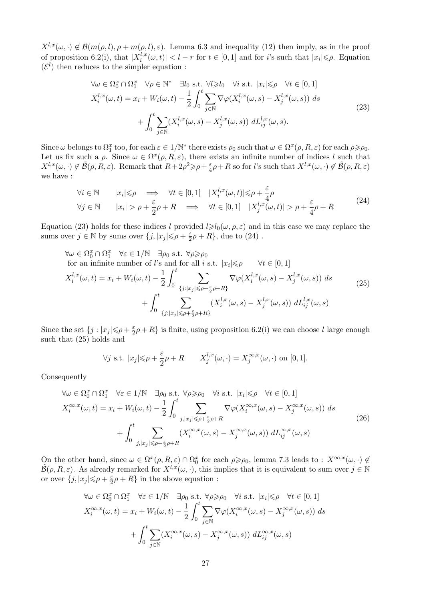$X^{l,x}(\omega, \cdot) \notin \mathcal{B}(m(\rho, l), \rho + m(\rho, l), \varepsilon)$ . Lemma 6.3 and inequality (12) then imply, as in the proof of proposition 6.2(i), that  $X_i^{l,x}$  $\left| \sum_{i}^{l,x}(\omega,t) \right| < l-r$  for  $t \in [0,1]$  and for i's such that  $|x_i| \leqslant \rho$ . Equation  $(\mathcal{E}^l)$  then reduces to the simpler equation :

$$
\forall \omega \in \Omega_0^x \cap \Omega_1^x \quad \forall \rho \in \mathbb{N}^* \quad \exists l_0 \text{ s.t. } \forall l \ge l_0 \quad \forall i \text{ s.t. } |x_i| \le \rho \quad \forall t \in [0, 1] X_i^{l,x}(\omega, t) = x_i + W_i(\omega, t) - \frac{1}{2} \int_0^t \sum_{j \in \mathbb{N}} \nabla \varphi(X_i^{l,x}(\omega, s) - X_j^{l,x}(\omega, s)) ds + \int_0^t \sum_{j \in \mathbb{N}} (X_i^{l,x}(\omega, s) - X_j^{l,x}(\omega, s)) dL_{ij}^{l,x}(\omega, s).
$$
\n(23)

Since  $\omega$  belongs to  $\Omega_1^x$  too, for each  $\varepsilon \in 1/\mathbb{N}^*$  there exists  $\rho_0$  such that  $\omega \in \Omega^x(\rho, R, \varepsilon)$  for each  $\rho \geqslant \rho_0$ . Let us fix such a  $\rho$ . Since  $\omega \in \Omega^x(\rho, R, \varepsilon)$ , there exists an infinite number of indices l such that  $X^{l,x}(\omega, \cdot) \notin \tilde{\mathcal{B}}(\rho, R, \varepsilon)$ . Remark that  $R + 2\rho^2 \geqslant \rho + \frac{\varepsilon}{4}$  $\frac{\varepsilon}{4}\rho + R$  so for *l*'s such that  $X^{l,x}(\omega, \cdot) \notin \tilde{\mathcal{B}}(\rho, R, \varepsilon)$ we have :

$$
\forall i \in \mathbb{N} \qquad |x_i| \leq \rho \implies \forall t \in [0,1] \quad |X_i^{l,x}(\omega,t)| \leq \rho + \frac{\varepsilon}{4}\rho
$$
  

$$
\forall j \in \mathbb{N} \qquad |x_i| > \rho + \frac{\varepsilon}{2}\rho + R \implies \forall t \in [0,1] \quad |X_j^{l,x}(\omega,t)| > \rho + \frac{\varepsilon}{4}\rho + R
$$
 (24)

Equation (23) holds for these indices l provided  $l \ge l_0(\omega, \rho, \varepsilon)$  and in this case we may replace the sums over  $j \in \mathbb{N}$  by sums over  $\{j, |x_j| \leqslant \rho + \frac{\varepsilon}{2}\}$  $\frac{\varepsilon}{2}\rho + R$ , due to  $(24)$ .

$$
\forall \omega \in \Omega_0^x \cap \Omega_1^x \quad \forall \varepsilon \in 1/\mathbb{N} \quad \exists \rho_0 \text{ s.t. } \forall \rho \ge \rho_0
$$
  
for an infinite number of *l*'s and for all *i* s.t.  $|x_i| \le \rho \quad \forall t \in [0, 1]$   

$$
X_i^{l,x}(\omega, t) = x_i + W_i(\omega, t) - \frac{1}{2} \int_0^t \sum_{\{j : |x_j| \le \rho + \frac{\varepsilon}{2}\rho + R\}} \nabla \varphi(X_i^{l,x}(\omega, s) - X_j^{l,x}(\omega, s)) ds
$$

$$
+ \int_0^t \sum_{\{j : |x_j| \le \rho + \frac{\varepsilon}{2}\rho + R\}} (X_i^{l,x}(\omega, s) - X_j^{l,x}(\omega, s)) dL_{ij}^{l,x}(\omega, s)
$$
(25)

Since the set  $\{j : |x_j| \leqslant \rho + \frac{\varepsilon}{2}\}$  $\frac{\varepsilon}{2}\rho + R$ } is finite, using proposition 6.2(i) we can choose l large enough such that (25) holds and

$$
\forall j \text{ s.t. } |x_j| \leq \rho + \frac{\varepsilon}{2}\rho + R
$$
  $X_j^{l,x}(\omega, \cdot) = X_j^{\infty, x}(\omega, \cdot) \text{ on } [0, 1].$ 

Consequently

$$
\forall \omega \in \Omega_0^x \cap \Omega_1^x \quad \forall \varepsilon \in 1/\mathbb{N} \quad \exists \rho_0 \text{ s.t. } \forall \rho \ge \rho_0 \quad \forall i \text{ s.t. } |x_i| \le \rho \quad \forall t \in [0, 1]
$$
\n
$$
X_i^{\infty, x}(\omega, t) = x_i + W_i(\omega, t) - \frac{1}{2} \int_0^t \sum_{j, |x_j| \le \rho + \frac{\varepsilon}{2}\rho + R} \nabla \varphi(X_i^{\infty, x}(\omega, s) - X_j^{\infty, x}(\omega, s)) ds
$$
\n
$$
+ \int_0^t \sum_{j, |x_j| \le \rho + \frac{\varepsilon}{2}\rho + R} (X_i^{\infty, x}(\omega, s) - X_j^{\infty, x}(\omega, s)) dL_{ij}^{\infty, x}(\omega, s)
$$
\n(26)

On the other hand, since  $\omega \in \Omega^x(\rho, R, \varepsilon) \cap \Omega_0^x$  for each  $\rho \geq \rho_0$ , lemma 7.3 leads to :  $X^{\infty, x}(\omega, \cdot) \notin$  $\widetilde{\mathcal{B}}(\rho, R, \varepsilon)$ . As already remarked for  $X^{l,x}(\omega, \cdot)$ , this implies that it is equivalent to sum over  $j \in \mathbb{N}$ or over  $\{j, |x_j| \leqslant \rho + \frac{\varepsilon}{2}\}$  $\frac{\varepsilon}{2}\rho + R$ } in the above equation :

$$
\forall \omega \in \Omega_0^x \cap \Omega_1^x \quad \forall \varepsilon \in 1/\mathbb{N} \quad \exists \rho_0 \text{ s.t. } \forall \rho \ge \rho_0 \quad \forall i \text{ s.t. } |x_i| \le \rho \quad \forall t \in [0, 1]
$$
\n
$$
X_i^{\infty, x}(\omega, t) = x_i + W_i(\omega, t) - \frac{1}{2} \int_0^t \sum_{j \in \mathbb{N}} \nabla \varphi(X_i^{\infty, x}(\omega, s) - X_j^{\infty, x}(\omega, s)) ds
$$
\n
$$
+ \int_0^t \sum_{j \in \mathbb{N}} (X_i^{\infty, x}(\omega, s) - X_j^{\infty, x}(\omega, s)) dL_{ij}^{\infty, x}(\omega, s)
$$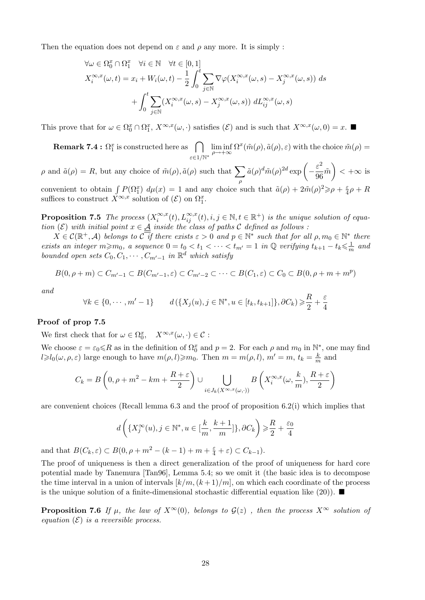Then the equation does not depend on  $\varepsilon$  and  $\rho$  any more. It is simply :

$$
\forall \omega \in \Omega_0^x \cap \Omega_1^x \quad \forall i \in \mathbb{N} \quad \forall t \in [0, 1]
$$
  

$$
X_i^{\infty, x}(\omega, t) = x_i + W_i(\omega, t) - \frac{1}{2} \int_0^t \sum_{j \in \mathbb{N}} \nabla \varphi(X_i^{\infty, x}(\omega, s) - X_j^{\infty, x}(\omega, s)) ds
$$
  

$$
+ \int_0^t \sum_{j \in \mathbb{N}} (X_i^{\infty, x}(\omega, s) - X_j^{\infty, x}(\omega, s)) dL_{ij}^{\infty, x}(\omega, s)
$$

This prove that for  $\omega \in \Omega_0^x \cap \Omega_1^x$ ,  $X^{\infty,x}(\omega, \cdot)$  satisfies  $(\mathcal{E})$  and is such that  $X^{\infty,x}(\omega,0) = x$ .

**Remark 7.4 :**  $\Omega_1^x$  is constructed here as  $\bigcap$ ε∈1/N<sup>∗</sup>  $\liminf_{\rho \to +\infty} \Omega^x(\tilde{m}(\rho), \tilde{a}(\rho), \varepsilon)$  with the choice  $\tilde{m}(\rho) =$ 

 $\rho$  and  $\tilde{a}(\rho) = R$ , but any choice of  $\tilde{m}(\rho), \tilde{a}(\rho)$  such that  $\sum$ ρ  $\tilde{a}(\rho)^d \tilde{m}(\rho)^{2d} \exp \left(-\frac{\varepsilon^2}{2\sigma^2}\right)$  $\left(\frac{\varepsilon^2}{96}\tilde{m}\right) < +\infty$  is convenient to obtain  $\int P(\Omega_1^x) d\mu(x) = 1$  and any choice such that  $\tilde{a}(\rho) + 2\tilde{m}(\rho)^2 \geqslant \rho + \frac{\varepsilon}{4}$  $rac{\varepsilon}{4}\rho+R$ suffices to construct  $X^{\infty,x}$  solution of  $(\mathcal{E})$  on  $\Omega_1^x$ .

**Proposition 7.5** The process  $(X_i^{\infty,x})$  $\sum_{i}^{\infty,x}(t), L_{ij}^{\infty,x}(t), i,j \in \mathbb{N}, t \in \mathbb{R}^+$  is the unique solution of equation (E) with initial point  $x \in \underline{\mathcal{A}}$  inside the class of paths C defined as follows:

 $X \in \mathcal{C}(\mathbb{R}^+, \mathcal{A})$  belongs to  $\overline{\mathcal{C}}$  if there exists  $\varepsilon > 0$  and  $p \in \mathbb{N}^*$  such that for all  $\rho, m_0 \in \mathbb{N}^*$  there exists an integer  $m \geq m_0$ , a sequence  $0 = t_0 < t_1 < \cdots < t_{m'} = 1$  in Q verifying  $t_{k+1} - t_k \leq \frac{1}{n}$  $\frac{1}{m}$  and bounded open sets  $C_0, C_1, \cdots, C_{m'-1}$  in  $\mathbb{R}^d$  which satisfy

$$
B(0, \rho+m) \subset C_{m'-1} \subset B(C_{m'-1}, \varepsilon) \subset C_{m'-2} \subset \cdots \subset B(C_1, \varepsilon) \subset C_0 \subset B(0, \rho+m+m^p)
$$

and

$$
\forall k \in \{0, \cdots, m'-1\} \qquad d\left(\{X_j(u), j \in \mathbb{N}^*, u \in [t_k, t_{k+1}]\}, \partial C_k\right) \geqslant \frac{R}{2} + \frac{\varepsilon}{4}
$$

#### Proof of prop 7.5

We first check that for  $\omega \in \Omega_0^x$ ,  $X^{\infty,x}(\omega, \cdot) \in \mathcal{C}$ :

We choose  $\varepsilon = \varepsilon_0 \le R$  as in the definition of  $\Omega_0^x$  and  $p = 2$ . For each  $\rho$  and  $m_0$  in  $\mathbb{N}^*$ , one may find  $l \geq l_0(\omega, \rho, \varepsilon)$  large enough to have  $m(\rho, l) \geq m_0$ . Then  $m = m(\rho, l)$ ,  $m' = m$ ,  $t_k = \frac{k}{m}$  $\frac{k}{m}$  and

$$
C_k = B\left(0, \rho + m^2 - km + \frac{R+\varepsilon}{2}\right) \cup \bigcup_{i \in J_k(X^{\infty, x}(\omega, \cdot))} B\left(X_i^{\infty, x}(\omega, \frac{k}{m}), \frac{R+\varepsilon}{2}\right)
$$

are convenient choices (Recall lemma 6.3 and the proof of proposition 6.2(i) which implies that

$$
d\left(\{X_j^{\infty}(u), j \in \mathbb{N}^*, u \in [\frac{k}{m}, \frac{k+1}{m}]\}, \partial C_k\right) \geqslant \frac{R}{2} + \frac{\varepsilon_0}{4}
$$

and that  $B(C_k, \varepsilon) \subset B(0, \rho + m^2 - (k-1) + m + \frac{\varepsilon}{4} + \varepsilon) \subset C_{k-1}$ .

The proof of uniqueness is then a direct generalization of the proof of uniqueness for hard core potential made by Tanemura [Tan96], Lemma 5.4; so we omit it (the basic idea is to decompose the time interval in a union of intervals  $\left[k/m,(k+1)/m\right]$ , on which each coordinate of the process is the unique solution of a finite-dimensional stochastic differential equation like (20)).

**Proposition 7.6** If  $\mu$ , the law of  $X^{\infty}(0)$ , belongs to  $\mathcal{G}(z)$ , then the process  $X^{\infty}$  solution of equation  $(\mathcal{E})$  is a reversible process.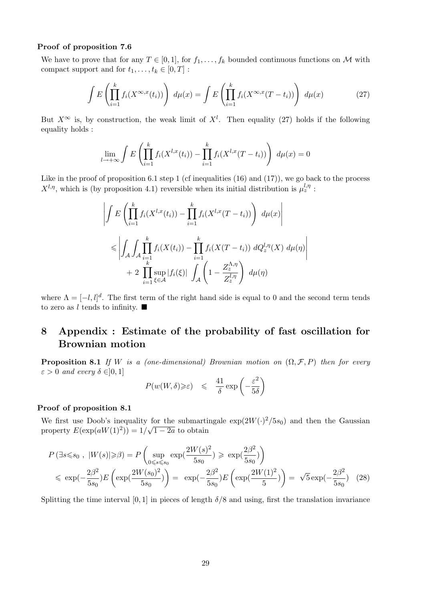#### Proof of proposition 7.6

We have to prove that for any  $T \in [0, 1]$ , for  $f_1, \ldots, f_k$  bounded continuous functions on M with compact support and for  $t_1, \ldots, t_k \in [0, T]$ :

$$
\int E\left(\prod_{i=1}^k f_i(X^{\infty,x}(t_i))\right) d\mu(x) = \int E\left(\prod_{i=1}^k f_i(X^{\infty,x}(T-t_i))\right) d\mu(x) \tag{27}
$$

But  $X^{\infty}$  is, by construction, the weak limit of  $X^{l}$ . Then equality (27) holds if the following equality holds :

$$
\lim_{l \to +\infty} \int E\left(\prod_{i=1}^k f_i(X^{l,x}(t_i)) - \prod_{i=1}^k f_i(X^{l,x}(T-t_i))\right) d\mu(x) = 0
$$

Like in the proof of proposition 6.1 step 1 (cf inequalities (16) and (17)), we go back to the process  $X^{l,\eta}$ , which is (by proposition 4.1) reversible when its initial distribution is  $\mu_z^{l,\eta}$ :

$$
\left| \int E\left(\prod_{i=1}^k f_i(X^{l,x}(t_i)) - \prod_{i=1}^k f_i(X^{l,x}(T-t_i))\right) d\mu(x) \right|
$$
  

$$
\leq \left| \int_A \int_A \prod_{i=1}^k f_i(X(t_i)) - \prod_{i=1}^k f_i(X(T-t_i)) dQ_z^{l,\eta}(X) d\mu(\eta) \right|
$$
  
+ 2 
$$
\prod_{i=1}^k \sup_{\xi \in \mathcal{A}} |f_i(\xi)| \int_{\mathcal{A}} \left(1 - \frac{Z_z^{\Lambda,\eta}}{Z_z^{l,\eta}}\right) d\mu(\eta)
$$

where  $\Lambda = [-l, l]^d$ . The first term of the right hand side is equal to 0 and the second term tends to zero as  $l$  tends to infinity.  $\blacksquare$ 

## 8 Appendix : Estimate of the probability of fast oscillation for Brownian motion

**Proposition 8.1** If W is a (one-dimensional) Brownian motion on  $(\Omega, \mathcal{F}, P)$  then for every  $\varepsilon > 0$  and every  $\delta \in ]0,1]$ 

$$
P(w(W,\delta) \geqslant \varepsilon) \leqslant \frac{41}{\delta} \exp\left(-\frac{\varepsilon^2}{5\delta}\right)
$$

#### Proof of proposition 8.1

We first use Doob's inequality for the submartingale  $\exp(2W(\cdot)^2/5s_0)$  and then the Gaussian property  $E(\exp(aW(1)^2)) = 1/$ √  $1 - 2a$  to obtain

$$
P(\exists s \leq s_0, |W(s)| \geq \beta) = P\left(\sup_{0 \leq s \leq s_0} \exp(\frac{2W(s)^2}{5s_0}) \geq \exp(\frac{2\beta^2}{5s_0})\right)
$$
  
\$\leq \exp(-\frac{2\beta^2}{5s\_0})E\left(\exp(\frac{2W(s\_0)^2}{5s\_0})\right) = \exp(-\frac{2\beta^2}{5s\_0})E\left(\exp(\frac{2W(1)^2}{5})\right) = \sqrt{5}\exp(-\frac{2\beta^2}{5s\_0}) \quad (28)\$

Splitting the time interval [0, 1] in pieces of length  $\delta/8$  and using, first the translation invariance